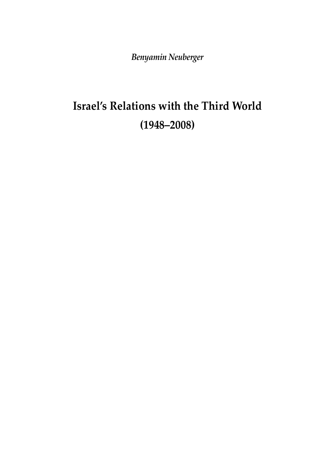*Benyamin Neuberger*

# **Israel's Relations with the Third World (1948–2008)**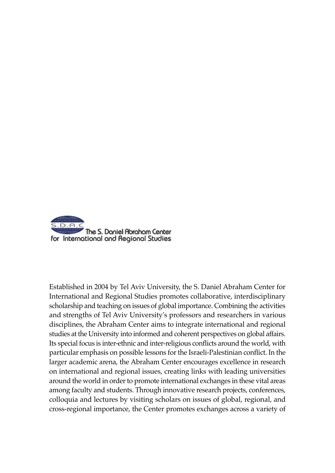

Established in 2004 by Tel Aviv University, the S. Daniel Abraham Center for International and Regional Studies promotes collaborative, interdisciplinary scholarship and teaching on issues of global importance. Combining the activities and strengths of Tel Aviv University's professors and researchers in various disciplines, the Abraham Center aims to integrate international and regional studies at the University into informed and coherent perspectives on global affairs. Its special focus is inter-ethnic and inter-religious conflicts around the world, with particular emphasis on possible lessons for the Israeli-Palestinian conflict. In the larger academic arena, the Abraham Center encourages excellence in research on international and regional issues, creating links with leading universities around the world in order to promote international exchanges in these vital areas among faculty and students. Through innovative research projects, conferences, colloquia and lectures by visiting scholars on issues of global, regional, and cross-regional importance, the Center promotes exchanges across a variety of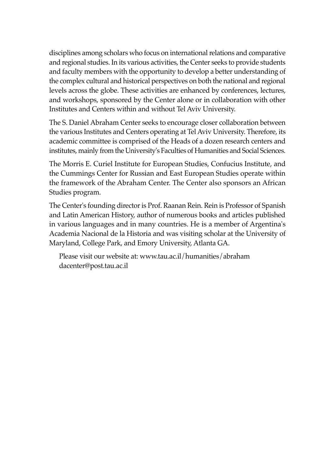disciplines among scholars who focus on international relations and comparative and regional studies. In its various activities, the Center seeks to provide students and faculty members with the opportunity to develop a better understanding of the complex cultural and historical perspectives on both the national and regional levels across the globe. These activities are enhanced by conferences, lectures, and workshops, sponsored by the Center alone or in collaboration with other Institutes and Centers within and without Tel Aviv University.

The S. Daniel Abraham Center seeks to encourage closer collaboration between the various Institutes and Centers operating at Tel Aviv University. Therefore, its academic committee is comprised of the Heads of a dozen research centers and institutes, mainly from the University's Faculties of Humanities and Social Sciences.

The Morris E. Curiel Institute for European Studies, Confucius Institute, and the Cummings Center for Russian and East European Studies operate within the framework of the Abraham Center. The Center also sponsors an African Studies program.

The Center's founding director is Prof. Raanan Rein. Rein is Professor of Spanish and Latin American History, author of numerous books and articles published in various languages and in many countries. He is a member of Argentina's Academia Nacional de la Historia and was visiting scholar at the University of Maryland, College Park, and Emory University, Atlanta GA.

Please visit our website at: www.tau.ac.il/humanities/abraham dacenter@post.tau.ac.il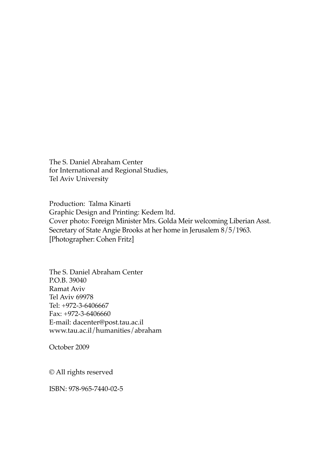The S. Daniel Abraham Center for International and Regional Studies, Tel Aviv University

Production: Talma Kinarti Graphic Design and Printing: Kedem ltd. Cover photo: Foreign Minister Mrs. Golda Meir welcoming Liberian Asst. Secretary of State Angie Brooks at her home in Jerusalem 8/5/1963. [Photographer: Cohen Fritz]

The S. Daniel Abraham Center P.O.B. 39040 Ramat Aviv Tel Aviv 69978 Tel: +972-3-6406667 Fax: +972-3-6406660 E-mail: dacenter@post.tau.ac.il www.tau.ac.il/humanities/abraham

October 2009

© All rights reserved

ISBN: 978-965-7440-02-5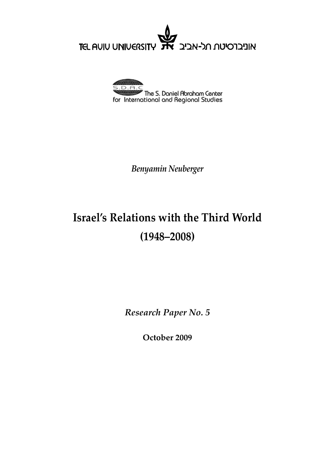אוניברסיטת תל-אביב<br>אוניברסיטת תל-אביב **TEL AUIU UNIVERSITY** 



*Benyamin Neuberger*

## **Israel's Relations with the Third World (1948–2008)**

*Research Paper No. 5*

**October 2009**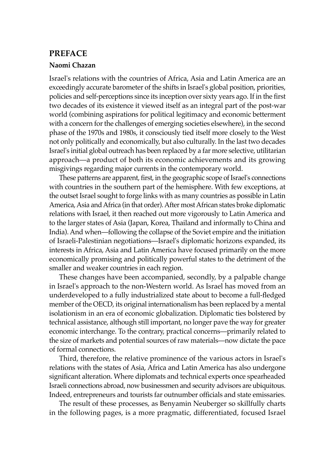#### **PREFACE**

#### **Naomi Chazan**

Israel's relations with the countries of Africa, Asia and Latin America are an exceedingly accurate barometer of the shifts in Israel's global position, priorities, policies and self-perceptions since its inception over sixty years ago. If in the first two decades of its existence it viewed itself as an integral part of the post-war world (combining aspirations for political legitimacy and economic betterment with a concern for the challenges of emerging societies elsewhere), in the second phase of the 1970s and 1980s, it consciously tied itself more closely to the West not only politically and economically, but also culturally. In the last two decades Israel's initial global outreach has been replaced by a far more selective, utilitarian approach—a product of both its economic achievements and its growing misgivings regarding major currents in the contemporary world.

These patterns are apparent, first, in the geographic scope of Israel's connections with countries in the southern part of the hemisphere. With few exceptions, at the outset Israel sought to forge links with as many countries as possible in Latin America, Asia and Africa (in that order). After most African states broke diplomatic relations with Israel, it then reached out more vigorously to Latin America and to the larger states of Asia (Japan, Korea, Thailand and informally to China and India). And when—following the collapse of the Soviet empire and the initiation of Israeli-Palestinian negotiations—Israel's diplomatic horizons expanded, its interests in Africa, Asia and Latin America have focused primarily on the more economically promising and politically powerful states to the detriment of the smaller and weaker countries in each region.

These changes have been accompanied, secondly, by a palpable change in Israel's approach to the non-Western world. As Israel has moved from an underdeveloped to a fully industrialized state about to become a full-fledged member of the OECD, its original internationalism has been replaced by a mental isolationism in an era of economic globalization. Diplomatic ties bolstered by technical assistance, although still important, no longer pave the way for greater economic interchange. To the contrary, practical concerns—primarily related to the size of markets and potential sources of raw materials—now dictate the pace of formal connections.

Third, therefore, the relative prominence of the various actors in Israel's relations with the states of Asia, Africa and Latin America has also undergone significant alteration. Where diplomats and technical experts once spearheaded Israeli connections abroad, now businessmen and security advisors are ubiquitous. Indeed, entrepreneurs and tourists far outnumber officials and state emissaries.

The result of these processes, as Benyamin Neuberger so skillfully charts in the following pages, is a more pragmatic, differentiated, focused Israel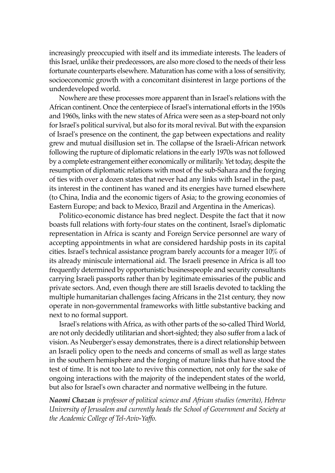increasingly preoccupied with itself and its immediate interests. The leaders of this Israel, unlike their predecessors, are also more closed to the needs of their less fortunate counterparts elsewhere. Maturation has come with a loss of sensitivity, socioeconomic growth with a concomitant disinterest in large portions of the underdeveloped world.

Nowhere are these processes more apparent than in Israel's relations with the African continent. Once the centerpiece of Israel's international efforts in the 1950s and 1960s, links with the new states of Africa were seen as a step-board not only for Israel's political survival, but also for its moral revival. But with the expansion of Israel's presence on the continent, the gap between expectations and reality grew and mutual disillusion set in. The collapse of the Israeli-African network following the rupture of diplomatic relations in the early 1970s was not followed by a complete estrangement either economically or militarily. Yet today, despite the resumption of diplomatic relations with most of the sub-Sahara and the forging of ties with over a dozen states that never had any links with Israel in the past, its interest in the continent has waned and its energies have turned elsewhere (to China, India and the economic tigers of Asia; to the growing economies of Eastern Europe; and back to Mexico, Brazil and Argentina in the Americas).

Politico-economic distance has bred neglect. Despite the fact that it now boasts full relations with forty-four states on the continent, Israel's diplomatic representation in Africa is scanty and Foreign Service personnel are wary of accepting appointments in what are considered hardship posts in its capital cities. Israel's technical assistance program barely accounts for a meager 10% of its already miniscule international aid. The Israeli presence in Africa is all too frequently determined by opportunistic businesspeople and security consultants carrying Israeli passports rather than by legitimate emissaries of the public and private sectors. And, even though there are still Israelis devoted to tackling the multiple humanitarian challenges facing Africans in the 21st century, they now operate in non-governmental frameworks with little substantive backing and next to no formal support.

Israel's relations with Africa, as with other parts of the so-called Third World, are not only decidedly utilitarian and short-sighted; they also suffer from a lack of vision. As Neuberger's essay demonstrates, there is a direct relationship between an Israeli policy open to the needs and concerns of small as well as large states in the southern hemisphere and the forging of mature links that have stood the test of time. It is not too late to revive this connection, not only for the sake of ongoing interactions with the majority of the independent states of the world, but also for Israel's own character and normative wellbeing in the future.

*Naomi Chazan is professor of political science and African studies (emerita), Hebrew University of Jerusalem and currently heads the School of Government and Society at the Academic College of Tel-Aviv-Yaffo.*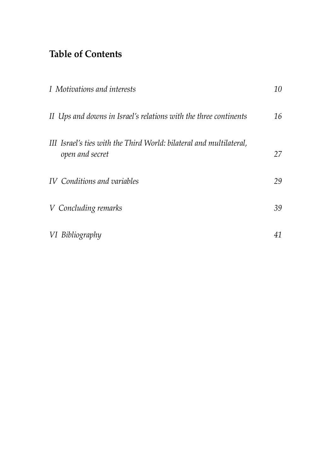## **Table of Contents**

| I Motivations and interests                                                            | 10 |
|----------------------------------------------------------------------------------------|----|
| II Ups and downs in Israel's relations with the three continents                       | 16 |
| III Israel's ties with the Third World: bilateral and multilateral,<br>open and secret | 27 |
| IV Conditions and variables                                                            | 29 |
| V Concluding remarks                                                                   | 39 |
| VI Bibliography                                                                        | 41 |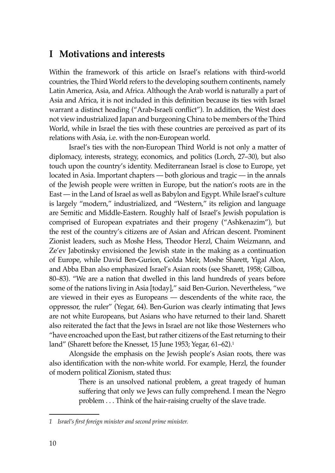### **I Motivations and interests**

Within the framework of this article on Israel's relations with third-world countries, the Third World refers to the developing southern continents, namely Latin America, Asia, and Africa. Although the Arab world is naturally a part of Asia and Africa, it is not included in this definition because its ties with Israel warrant a distinct heading ("Arab-Israeli conflict"). In addition, the West does not view industrialized Japan and burgeoning China to be members of the Third World, while in Israel the ties with these countries are perceived as part of its relations with Asia, i.e. with the non-European world.

Israel's ties with the non-European Third World is not only a matter of diplomacy, interests, strategy, economics, and politics (Lorch, 27–30), but also touch upon the country's identity. Mediterranean Israel is close to Europe, yet located in Asia. Important chapters — both glorious and tragic — in the annals of the Jewish people were written in Europe, but the nation's roots are in the East — in the Land of Israel as well as Babylon and Egypt. While Israel's culture is largely "modern," industrialized, and "Western," its religion and language are Semitic and Middle-Eastern. Roughly half of Israel's Jewish population is comprised of European expatriates and their progeny ("Ashkenazim"), but the rest of the country's citizens are of Asian and African descent. Prominent Zionist leaders, such as Moshe Hess, Theodor Herzl, Chaim Weizmann, and Ze'ev Jabotinsky envisioned the Jewish state in the making as a continuation of Europe, while David Ben-Gurion, Golda Meir, Moshe Sharett, Yigal Alon, and Abba Eban also emphasized Israel's Asian roots (see Sharett, 1958; Gilboa, 80–83). "We are a nation that dwelled in this land hundreds of years before some of the nations living in Asia [today]," said Ben-Gurion. Nevertheless, "we are viewed in their eyes as Europeans — descendents of the white race, the oppressor, the ruler" (Yegar, 64). Ben-Gurion was clearly intimating that Jews are not white Europeans, but Asians who have returned to their land. Sharett also reiterated the fact that the Jews in Israel are not like those Westerners who "have encroached upon the East, but rather citizens of the East returning to their land" (Sharett before the Knesset, 15 June 1953; Yegar, 61–62).<sup>1</sup>

Alongside the emphasis on the Jewish people's Asian roots, there was also identification with the non-white world. For example, Herzl, the founder of modern political Zionism, stated thus:

> There is an unsolved national problem, a great tragedy of human suffering that only we Jews can fully comprehend. I mean the Negro problem . . . Think of the hair-raising cruelty of the slave trade.

*<sup>1</sup> Israel's first foreign minister and second prime minister.*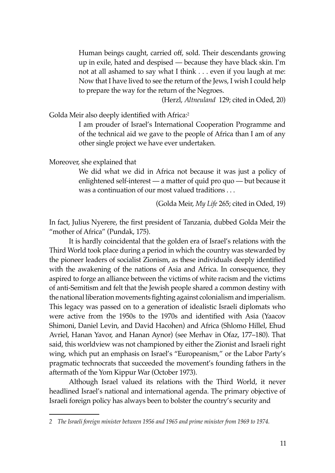Human beings caught, carried off, sold. Their descendants growing up in exile, hated and despised — because they have black skin. I'm not at all ashamed to say what I think . . . even if you laugh at me: Now that I have lived to see the return of the Jews, I wish I could help to prepare the way for the return of the Negroes.

(Herzl, *Altneuland* 129; cited in Oded, 20)

Golda Meir also deeply identified with Africa:<sup>2</sup>

I am prouder of Israel's International Cooperation Programme and of the technical aid we gave to the people of Africa than I am of any other single project we have ever undertaken.

Moreover, she explained that

We did what we did in Africa not because it was just a policy of enlightened self-interest — a matter of quid pro quo — but because it was a continuation of our most valued traditions . . .

(Golda Meir, *My Life* 265; cited in Oded, 19)

In fact, Julius Nyerere, the first president of Tanzania, dubbed Golda Meir the "mother of Africa" (Pundak, 175).

It is hardly coincidental that the golden era of Israel's relations with the Third World took place during a period in which the country was stewarded by the pioneer leaders of socialist Zionism, as these individuals deeply identified with the awakening of the nations of Asia and Africa. In consequence, they aspired to forge an alliance between the victims of white racism and the victims of anti-Semitism and felt that the Jewish people shared a common destiny with the national liberation movements fighting against colonialism and imperialism. This legacy was passed on to a generation of idealistic Israeli diplomats who were active from the 1950s to the 1970s and identified with Asia (Yaacov Shimoni, Daniel Levin, and David Hacohen) and Africa (Shlomo Hillel, Ehud Avriel, Hanan Yavor, and Hanan Aynor) (see Merhav in Ofaz, 177–180). That said, this worldview was not championed by either the Zionist and Israeli right wing, which put an emphasis on Israel's "Europeanism," or the Labor Party's pragmatic technocrats that succeeded the movement's founding fathers in the aftermath of the Yom Kippur War (October 1973).

Although Israel valued its relations with the Third World, it never headlined Israel's national and international agenda. The primary objective of Israeli foreign policy has always been to bolster the country's security and

*<sup>2</sup> The Israeli foreign minister between 1956 and 1965 and prime minister from 1969 to 1974.*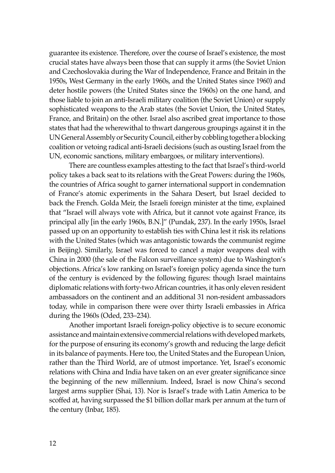guarantee its existence. Therefore, over the course of Israel's existence, the most crucial states have always been those that can supply it arms (the Soviet Union and Czechoslovakia during the War of Independence, France and Britain in the 1950s, West Germany in the early 1960s, and the United States since 1960) and deter hostile powers (the United States since the 1960s) on the one hand, and those liable to join an anti-Israeli military coalition (the Soviet Union) or supply sophisticated weapons to the Arab states (the Soviet Union, the United States, France, and Britain) on the other. Israel also ascribed great importance to those states that had the wherewithal to thwart dangerous groupings against it in the UN General Assembly or Security Council, either by cobbling together a blocking coalition or vetoing radical anti-Israeli decisions (such as ousting Israel from the UN, economic sanctions, military embargoes, or military interventions).

There are countless examples attesting to the fact that Israel's third-world policy takes a back seat to its relations with the Great Powers: during the 1960s, the countries of Africa sought to garner international support in condemnation of France's atomic experiments in the Sahara Desert, but Israel decided to back the French. Golda Meir, the Israeli foreign minister at the time, explained that "Israel will always vote with Africa, but it cannot vote against France, its principal ally [in the early 1960s, B.N.]" (Pundak, 237). In the early 1950s, Israel passed up on an opportunity to establish ties with China lest it risk its relations with the United States (which was antagonistic towards the communist regime in Beijing). Similarly, Israel was forced to cancel a major weapons deal with China in 2000 (the sale of the Falcon surveillance system) due to Washington's objections. Africa's low ranking on Israel's foreign policy agenda since the turn of the century is evidenced by the following figures: though Israel maintains diplomatic relations with forty-two African countries, it has only eleven resident ambassadors on the continent and an additional 31 non-resident ambassadors today, while in comparison there were over thirty Israeli embassies in Africa during the 1960s (Oded, 233–234).

Another important Israeli foreign-policy objective is to secure economic assistance and maintain extensive commercial relations with developed markets, for the purpose of ensuring its economy's growth and reducing the large deficit in its balance of payments. Here too, the United States and the European Union, rather than the Third World, are of utmost importance. Yet, Israel's economic relations with China and India have taken on an ever greater significance since the beginning of the new millennium. Indeed, Israel is now China's second largest arms supplier (Shai, 13). Nor is Israel's trade with Latin America to be scoffed at, having surpassed the \$1 billion dollar mark per annum at the turn of the century (Inbar, 185).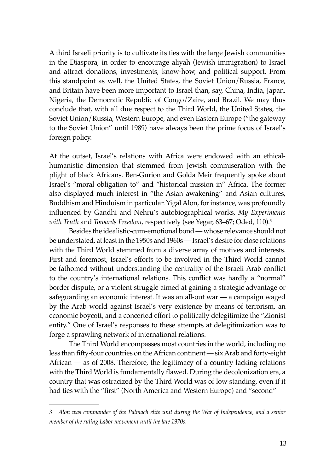A third Israeli priority is to cultivate its ties with the large Jewish communities in the Diaspora, in order to encourage aliyah (Jewish immigration) to Israel and attract donations, investments, know-how, and political support. From this standpoint as well, the United States, the Soviet Union/Russia, France, and Britain have been more important to Israel than, say, China, India, Japan, Nigeria, the Democratic Republic of Congo/Zaire, and Brazil. We may thus conclude that, with all due respect to the Third World, the United States, the Soviet Union/Russia, Western Europe, and even Eastern Europe ("the gateway to the Soviet Union" until 1989) have always been the prime focus of Israel's foreign policy.

At the outset, Israel's relations with Africa were endowed with an ethicalhumanistic dimension that stemmed from Jewish commiseration with the plight of black Africans. Ben-Gurion and Golda Meir frequently spoke about Israel's "moral obligation to" and "historical mission in" Africa. The former also displayed much interest in "the Asian awakening" and Asian cultures, Buddhism and Hinduism in particular. Yigal Alon, for instance, was profoundly influenced by Gandhi and Nehru's autobiographical works, *My Experiments with Truth* and *Towards Freedom*, respectively (see Yegar, 63–67; Oded, 110).3

Besides the idealistic-cum-emotional bond — whose relevance should not be understated, at least in the 1950s and 1960s — Israel's desire for close relations with the Third World stemmed from a diverse array of motives and interests. First and foremost, Israel's efforts to be involved in the Third World cannot be fathomed without understanding the centrality of the Israeli-Arab conflict to the country's international relations. This conflict was hardly a "normal" border dispute, or a violent struggle aimed at gaining a strategic advantage or safeguarding an economic interest. It was an all-out war — a campaign waged by the Arab world against Israel's very existence by means of terrorism, an economic boycott, and a concerted effort to politically delegitimize the "Zionist entity." One of Israel's responses to these attempts at delegitimization was to forge a sprawling network of international relations.

The Third World encompasses most countries in the world, including no less than fifty-four countries on the African continent — six Arab and forty-eight African — as of 2008. Therefore, the legitimacy of a country lacking relations with the Third World is fundamentally flawed. During the decolonization era, a country that was ostracized by the Third World was of low standing, even if it had ties with the "first" (North America and Western Europe) and "second"

*<sup>3</sup> Alon was commander of the Palmach elite unit during the War of Independence, and a senior member of the ruling Labor movement until the late 1970s.*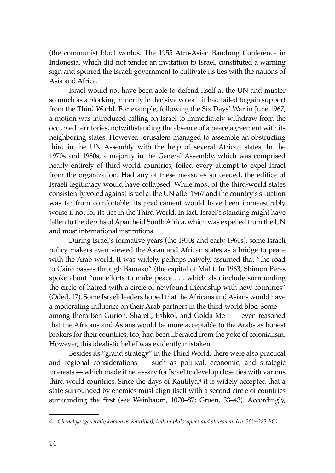(the communist bloc) worlds. The 1955 Afro-Asian Bandung Conference in Indonesia, which did not tender an invitation to Israel, constituted a warning sign and spurred the Israeli government to cultivate its ties with the nations of Asia and Africa.

Israel would not have been able to defend itself at the UN and muster so much as a blocking minority in decisive votes if it had failed to gain support from the Third World. For example, following the Six Days' War in June 1967, a motion was introduced calling on Israel to immediately withdraw from the occupied territories, notwithstanding the absence of a peace agreement with its neighboring states. However, Jerusalem managed to assemble an obstructing third in the UN Assembly with the help of several African states. In the 1970s and 1980s, a majority in the General Assembly, which was comprised nearly entirely of third-world countries, foiled every attempt to expel Israel from the organization. Had any of these measures succeeded, the edifice of Israeli legitimacy would have collapsed. While most of the third-world states consistently voted against Israel at the UN after 1967 and the country's situation was far from comfortable, its predicament would have been immeasurably worse if not for its ties in the Third World. In fact, Israel's standing might have fallen to the depths of Apartheid South Africa, which was expelled from the UN and most international institutions.

During Israel's formative years (the 1950s and early 1960s), some Israeli policy makers even viewed the Asian and African states as a bridge to peace with the Arab world. It was widely, perhaps naively, assumed that "the road to Cairo passes through Bamako" (the capital of Mali). In 1963, Shimon Peres spoke about "our efforts to make peace . . . which also include surrounding the circle of hatred with a circle of newfound friendship with new countries" (Oded, 17). Some Israeli leaders hoped that the Africans and Asians would have a moderating influence on their Arab partners in the third-world bloc. Some among them Ben-Gurion, Sharett, Eshkol, and Golda Meir — even reasoned that the Africans and Asians would be more acceptable to the Arabs as honest brokers for their countries, too, had been liberated from the yoke of colonialism. However, this idealistic belief was evidently mistaken.

Besides its "grand strategy" in the Third World, there were also practical and regional considerations — such as political, economic, and strategic interests — which made it necessary for Israel to develop close ties with various third-world countries. Since the days of Kautilya,<sup>4</sup> it is widely accepted that a state surrounded by enemies must align itself with a second circle of countries surrounding the first (see Weinbaum, 1070–87; Gruen, 33–43). Accordingly,

*<sup>4</sup> Chanakya (generally known as Kautilya), Indian philosopher and statesman (ca. 350*–*283 BC)*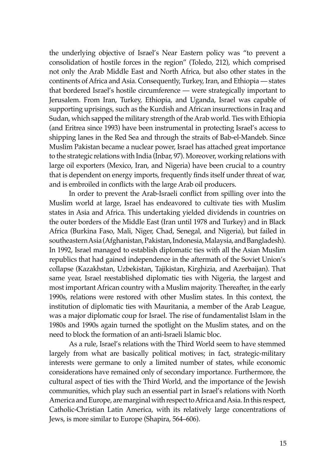the underlying objective of Israel's Near Eastern policy was "to prevent a consolidation of hostile forces in the region" (Toledo, 212), which comprised not only the Arab Middle East and North Africa, but also other states in the continents of Africa and Asia. Consequently, Turkey, Iran, and Ethiopia — states that bordered Israel's hostile circumference — were strategically important to Jerusalem. From Iran, Turkey, Ethiopia, and Uganda, Israel was capable of supporting uprisings, such as the Kurdish and African insurrections in Iraq and Sudan, which sapped the military strength of the Arab world. Ties with Ethiopia (and Eritrea since 1993) have been instrumental in protecting Israel's access to shipping lanes in the Red Sea and through the straits of Bab-el-Mandeb. Since Muslim Pakistan became a nuclear power, Israel has attached great importance to the strategic relations with India (Inbar, 97). Moreover, working relations with large oil exporters (Mexico, Iran, and Nigeria) have been crucial to a country that is dependent on energy imports, frequently finds itself under threat of war, and is embroiled in conflicts with the large Arab oil producers.

In order to prevent the Arab-Israeli conflict from spilling over into the Muslim world at large, Israel has endeavored to cultivate ties with Muslim states in Asia and Africa. This undertaking yielded dividends in countries on the outer borders of the Middle East (Iran until 1978 and Turkey) and in Black Africa (Burkina Faso, Mali, Niger, Chad, Senegal, and Nigeria), but failed in southeastern Asia (Afghanistan, Pakistan, Indonesia, Malaysia, and Bangladesh). In 1992, Israel managed to establish diplomatic ties with all the Asian Muslim republics that had gained independence in the aftermath of the Soviet Union's collapse (Kazakhstan, Uzbekistan, Tajikistan, Kirghizia, and Azerbaijan). That same year, Israel reestablished diplomatic ties with Nigeria, the largest and most important African country with a Muslim majority. Thereafter, in the early 1990s, relations were restored with other Muslim states. In this context, the institution of diplomatic ties with Mauritania, a member of the Arab League, was a major diplomatic coup for Israel. The rise of fundamentalist Islam in the 1980s and 1990s again turned the spotlight on the Muslim states, and on the need to block the formation of an anti-Israeli Islamic bloc.

As a rule, Israel's relations with the Third World seem to have stemmed largely from what are basically political motives; in fact, strategic-military interests were germane to only a limited number of states, while economic considerations have remained only of secondary importance. Furthermore, the cultural aspect of ties with the Third World, and the importance of the Jewish communities, which play such an essential part in Israel's relations with North America and Europe, are marginal with respect to Africa and Asia. In this respect, Catholic-Christian Latin America, with its relatively large concentrations of Jews, is more similar to Europe (Shapira, 564–606).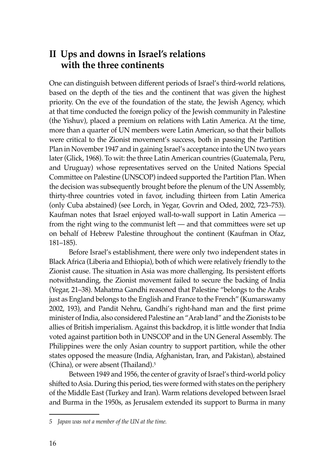## **II Ups and downs in Israel's relations with the three continents**

One can distinguish between different periods of Israel's third-world relations, based on the depth of the ties and the continent that was given the highest priority. On the eve of the foundation of the state, the Jewish Agency, which at that time conducted the foreign policy of the Jewish community in Palestine (the Yishuv), placed a premium on relations with Latin America. At the time, more than a quarter of UN members were Latin American, so that their ballots were critical to the Zionist movement's success, both in passing the Partition Plan in November 1947 and in gaining Israel's acceptance into the UN two years later (Glick, 1968). To wit: the three Latin American countries (Guatemala, Peru, and Uruguay) whose representatives served on the United Nations Special Committee on Palestine (UNSCOP) indeed supported the Partition Plan. When the decision was subsequently brought before the plenum of the UN Assembly, thirty-three countries voted in favor, including thirteen from Latin America (only Cuba abstained) (see Lorch, in Yegar, Govrin and Oded, 2002, 723–753). Kaufman notes that Israel enjoyed wall-to-wall support in Latin America from the right wing to the communist left — and that committees were set up on behalf of Hebrew Palestine throughout the continent (Kaufman in Ofaz, 181–185).

Before Israel's establishment, there were only two independent states in Black Africa (Liberia and Ethiopia), both of which were relatively friendly to the Zionist cause. The situation in Asia was more challenging. Its persistent efforts notwithstanding, the Zionist movement failed to secure the backing of India (Yegar, 21–38). Mahatma Gandhi reasoned that Palestine "belongs to the Arabs just as England belongs to the English and France to the French" (Kumarswamy 2002, 193), and Pandit Nehru, Gandhi's right-hand man and the first prime minister of India, also considered Palestine an "Arab land" and the Zionists to be allies of British imperialism. Against this backdrop, it is little wonder that India voted against partition both in UNSCOP and in the UN General Assembly. The Philippines were the only Asian country to support partition, while the other states opposed the measure (India, Afghanistan, Iran, and Pakistan), abstained (China), or were absent (Thailand). $5$ 

Between 1949 and 1956, the center of gravity of Israel's third-world policy shifted to Asia. During this period, ties were formed with states on the periphery of the Middle East (Turkey and Iran). Warm relations developed between Israel and Burma in the 1950s, as Jerusalem extended its support to Burma in many

*<sup>5</sup> Japan was not a member of the UN at the time.*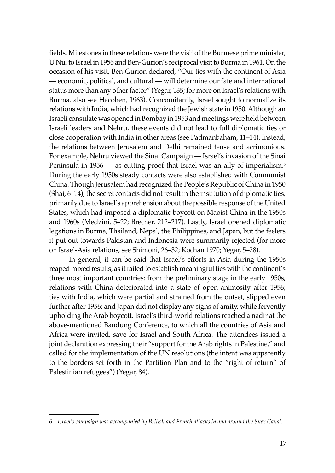fields. Milestones in these relations were the visit of the Burmese prime minister, U Nu, to Israel in 1956 and Ben-Gurion's reciprocal visit to Burma in 1961. On the occasion of his visit, Ben-Gurion declared, "Our ties with the continent of Asia — economic, political, and cultural — will determine our fate and international status more than any other factor" (Yegar, 135; for more on Israel's relations with Burma, also see Hacohen, 1963). Concomitantly, Israel sought to normalize its relations with India, which had recognized the Jewish state in 1950. Although an Israeli consulate was opened in Bombay in 1953 and meetings were held between Israeli leaders and Nehru, these events did not lead to full diplomatic ties or close cooperation with India in other areas (see Padmanbaham, 11–14). Instead, the relations between Jerusalem and Delhi remained tense and acrimonious. For example, Nehru viewed the Sinai Campaign — Israel's invasion of the Sinai Peninsula in 1956 — as cutting proof that Israel was an ally of imperialism.<sup>6</sup> During the early 1950s steady contacts were also established with Communist China. Though Jerusalem had recognized the People's Republic of China in 1950 (Shai, 6–14), the secret contacts did not result in the institution of diplomatic ties, primarily due to Israel's apprehension about the possible response of the United States, which had imposed a diplomatic boycott on Maoist China in the 1950s and 1960s (Medzini, 5–22; Brecher, 212–217). Lastly, Israel opened diplomatic legations in Burma, Thailand, Nepal, the Philippines, and Japan, but the feelers it put out towards Pakistan and Indonesia were summarily rejected (for more on Israel-Asia relations, see Shimoni, 26–32; Kochan 1970; Yegar, 5–28).

In general, it can be said that Israel's efforts in Asia during the 1950s reaped mixed results, as it failed to establish meaningful ties with the continent's three most important countries: from the preliminary stage in the early 1950s, relations with China deteriorated into a state of open animosity after 1956; ties with India, which were partial and strained from the outset, slipped even further after 1956; and Japan did not display any signs of amity, while fervently upholding the Arab boycott. Israel's third-world relations reached a nadir at the above-mentioned Bandung Conference, to which all the countries of Asia and Africa were invited, save for Israel and South Africa. The attendees issued a joint declaration expressing their "support for the Arab rights in Palestine," and called for the implementation of the UN resolutions (the intent was apparently to the borders set forth in the Partition Plan and to the "right of return" of Palestinian refugees") (Yegar, 84).

*<sup>6</sup> Israel's campaign was accompanied by British and French attacks in and around the Suez Canal.*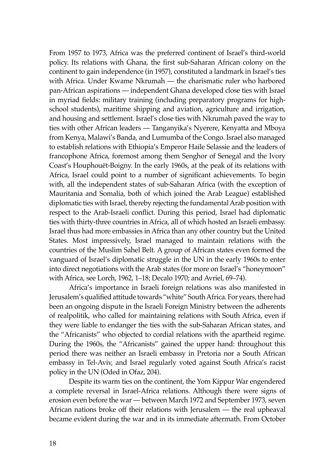From 1957 to 1973, Africa was the preferred continent of Israel's third-world policy. Its relations with Ghana, the first sub-Saharan African colony on the continent to gain independence (in 1957), constituted a landmark in Israel's ties with Africa. Under Kwame Nkrumah — the charismatic ruler who harbored pan-African aspirations — independent Ghana developed close ties with Israel in myriad fields: military training (including preparatory programs for highschool students), maritime shipping and aviation, agriculture and irrigation, and housing and settlement. Israel's close ties with Nkrumah paved the way to ties with other African leaders — Tanganyika's Nyerere, Kenyatta and Mboya from Kenya, Malawi's Banda, and Lumumba of the Congo. Israel also managed to establish relations with Ethiopia's Emperor Haile Selassie and the leaders of francophone Africa, foremost among them Senghor of Senegal and the Ivory Coast's Houphouët-Boigny. In the early 1960s, at the peak of its relations with Africa, Israel could point to a number of significant achievements. To begin with, all the independent states of sub-Saharan Africa (with the exception of Mauritania and Somalia, both of which joined the Arab League) established diplomatic ties with Israel, thereby rejecting the fundamental Arab position with respect to the Arab-Israeli conflict. During this period, Israel had diplomatic ties with thirty-three countries in Africa, all of which hosted an Israeli embassy. Israel thus had more embassies in Africa than any other country but the United States. Most impressively, Israel managed to maintain relations with the countries of the Muslim Sahel Belt. A group of African states even formed the vanguard of Israel's diplomatic struggle in the UN in the early 1960s to enter into direct negotiations with the Arab states (for more on Israel's "honeymoon" with Africa, see Lorch, 1962, 1–18; Decalo 1970; and Avriel, 69–74).

Africa's importance in Israeli foreign relations was also manifested in Jerusalem's qualified attitude towards "white" South Africa. For years, there had been an ongoing dispute in the Israeli Foreign Ministry between the adherents of realpolitik, who called for maintaining relations with South Africa, even if they were liable to endanger the ties with the sub-Saharan African states, and the "Africanists" who objected to cordial relations with the apartheid regime. During the 1960s, the "Africanists" gained the upper hand: throughout this period there was neither an Israeli embassy in Pretoria nor a South African embassy in Tel-Aviv, and Israel regularly voted against South Africa's racist policy in the UN (Oded in Ofaz, 204).

Despite its warm ties on the continent, the Yom Kippur War engendered a complete reversal in Israel-Africa relations. Although there were signs of erosion even before the war — between March 1972 and September 1973, seven African nations broke off their relations with Jerusalem — the real upheaval became evident during the war and in its immediate aftermath. From October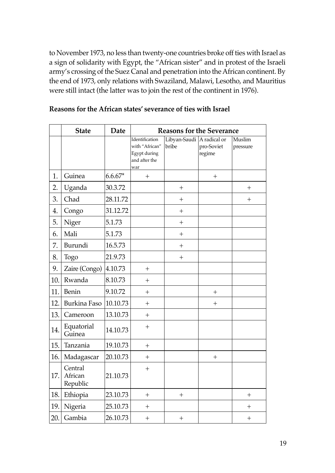to November 1973, no less than twenty-one countries broke off ties with Israel as a sign of solidarity with Egypt, the "African sister" and in protest of the Israeli army's crossing of the Suez Canal and penetration into the African continent. By the end of 1973, only relations with Swaziland, Malawi, Lesotho, and Mauritius were still intact (the latter was to join the rest of the continent in 1976).

|     | <b>State</b>                   | <b>Date</b> | <b>Reasons for the Severance</b>                                         |                                    |                      |                    |
|-----|--------------------------------|-------------|--------------------------------------------------------------------------|------------------------------------|----------------------|--------------------|
|     |                                |             | Identification<br>with "African"<br>Egypt during<br>and after the<br>war | Libyan-Saudi A radical or<br>bribe | pro-Soviet<br>regime | Muslim<br>pressure |
| 1.  | Guinea                         | $6.6.67*$   | $^{+}$                                                                   |                                    | $^{+}$               |                    |
| 2.  | Uganda                         | 30.3.72     |                                                                          | $+$                                |                      | $^{+}$             |
| 3.  | Chad                           | 28.11.72    |                                                                          | $+$                                |                      | $^{+}$             |
| 4.  | Congo                          | 31.12.72    |                                                                          | $+$                                |                      |                    |
| 5.  | Niger                          | 5.1.73      |                                                                          | $+$                                |                      |                    |
| 6.  | Mali                           | 5.1.73      |                                                                          | $^{+}$                             |                      |                    |
| 7.  | Burundi                        | 16.5.73     |                                                                          | $+$                                |                      |                    |
| 8.  | Togo                           | 21.9.73     |                                                                          | $+$                                |                      |                    |
| 9.  | Zaire (Congo) 4.10.73          |             | $+$                                                                      |                                    |                      |                    |
| 10. | Rwanda                         | 8.10.73     | $+$                                                                      |                                    |                      |                    |
| 11. | Benin                          | 9.10.72     | $+$                                                                      |                                    | $^{+}$               |                    |
| 12. | Burkina Faso                   | 10.10.73    | $+$                                                                      |                                    | $+$                  |                    |
| 13. | Cameroon                       | 13.10.73    | $+$                                                                      |                                    |                      |                    |
| 14. | Equatorial<br>Guinea           | 14.10.73    | $^{+}$                                                                   |                                    |                      |                    |
| 15. | Tanzania                       | 19.10.73    | $+$                                                                      |                                    |                      |                    |
| 16. | Madagascar                     | 20.10.73    | $+$                                                                      |                                    | $+$                  |                    |
| 17. | Central<br>African<br>Republic | 21.10.73    | $+$                                                                      |                                    |                      |                    |
| 18. | Ethiopia                       | 23.10.73    | $+$                                                                      | $^{+}$                             |                      | $^{+}$             |
| 19. | Nigeria                        | 25.10.73    | $^{+}$                                                                   |                                    |                      | $\hspace{0.1mm} +$ |
| 20. | Gambia                         | 26.10.73    | $^{+}$                                                                   | $^{+}$                             |                      | $^{+}$             |

#### **Reasons for the African states' severance of ties with Israel**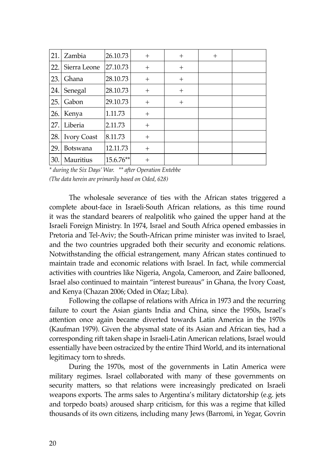| 21. | Zambia             | 26.10.73  | $\,+\,$ | $^{+}$ | $\mathrm{+}$ |  |
|-----|--------------------|-----------|---------|--------|--------------|--|
| 22. | Sierra Leone       | 27.10.73  | $+$     | $+$    |              |  |
| 23. | Ghana              | 28.10.73  | $^{+}$  | $^{+}$ |              |  |
| 24. | Senegal            | 28.10.73  | $\,+\,$ | $^{+}$ |              |  |
| 25. | Gabon              | 29.10.73  | $^{+}$  | $^{+}$ |              |  |
| 26. | Kenya              | 1.11.73   | $+$     |        |              |  |
| 27. | Liberia            | 2.11.73   | $\,+\,$ |        |              |  |
| 28. | <b>Ivory Coast</b> | 8.11.73   | $^{+}$  |        |              |  |
| 29. | <b>Botswana</b>    | 12.11.73  | $^{+}$  |        |              |  |
| 30. | Mauritius          | 15.6.76** |         |        |              |  |

*\* during the Six Days' War. \*\* after Operation Entebbe (The data herein are primarily based on Oded, 628)*

The wholesale severance of ties with the African states triggered a complete about-face in Israeli-South African relations, as this time round it was the standard bearers of realpolitik who gained the upper hand at the Israeli Foreign Ministry. In 1974, Israel and South Africa opened embassies in Pretoria and Tel-Aviv; the South-African prime minister was invited to Israel, and the two countries upgraded both their security and economic relations. Notwithstanding the official estrangement, many African states continued to maintain trade and economic relations with Israel. In fact, while commercial activities with countries like Nigeria, Angola, Cameroon, and Zaire ballooned, Israel also continued to maintain "interest bureaus" in Ghana, the Ivory Coast, and Kenya (Chazan 2006; Oded in Ofaz; Liba).

Following the collapse of relations with Africa in 1973 and the recurring failure to court the Asian giants India and China, since the 1950s, Israel's attention once again became diverted towards Latin America in the 1970s (Kaufman 1979). Given the abysmal state of its Asian and African ties, had a corresponding rift taken shape in Israeli-Latin American relations, Israel would essentially have been ostracized by the entire Third World, and its international legitimacy torn to shreds.

During the 1970s, most of the governments in Latin America were military regimes. Israel collaborated with many of these governments on security matters, so that relations were increasingly predicated on Israeli weapons exports. The arms sales to Argentina's military dictatorship (e.g. jets and torpedo boats) aroused sharp criticism, for this was a regime that killed thousands of its own citizens, including many Jews (Barromi, in Yegar, Govrin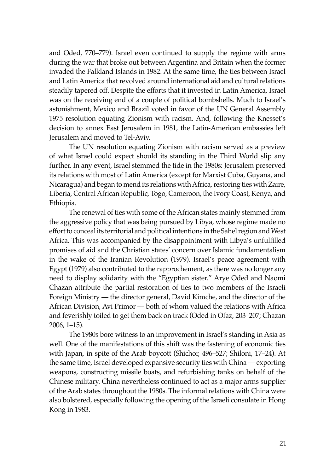and Oded, 770–779). Israel even continued to supply the regime with arms during the war that broke out between Argentina and Britain when the former invaded the Falkland Islands in 1982. At the same time, the ties between Israel and Latin America that revolved around international aid and cultural relations steadily tapered off. Despite the efforts that it invested in Latin America, Israel was on the receiving end of a couple of political bombshells. Much to Israel's astonishment, Mexico and Brazil voted in favor of the UN General Assembly 1975 resolution equating Zionism with racism. And, following the Knesset's decision to annex East Jerusalem in 1981, the Latin-American embassies left Jerusalem and moved to Tel-Aviv.

The UN resolution equating Zionism with racism served as a preview of what Israel could expect should its standing in the Third World slip any further. In any event, Israel stemmed the tide in the 1980s: Jerusalem preserved its relations with most of Latin America (except for Marxist Cuba, Guyana, and Nicaragua) and began to mend its relations with Africa, restoring ties with Zaire, Liberia, Central African Republic, Togo, Cameroon, the Ivory Coast, Kenya, and Ethiopia.

The renewal of ties with some of the African states mainly stemmed from the aggressive policy that was being pursued by Libya, whose regime made no effort to conceal its territorial and political intentions in the Sahel region and West Africa. This was accompanied by the disappointment with Libya's unfulfilled promises of aid and the Christian states' concern over Islamic fundamentalism in the wake of the Iranian Revolution (1979). Israel's peace agreement with Egypt (1979) also contributed to the rapprochement, as there was no longer any need to display solidarity with the "Egyptian sister." Arye Oded and Naomi Chazan attribute the partial restoration of ties to two members of the Israeli Foreign Ministry — the director general, David Kimche, and the director of the African Division, Avi Primor — both of whom valued the relations with Africa and feverishly toiled to get them back on track (Oded in Ofaz, 203–207; Chazan 2006, 1–15).

The 1980s bore witness to an improvement in Israel's standing in Asia as well. One of the manifestations of this shift was the fastening of economic ties with Japan, in spite of the Arab boycott (Shichor, 496–527; Shiloni, 17–24). At the same time, Israel developed expansive security ties with China — exporting weapons, constructing missile boats, and refurbishing tanks on behalf of the Chinese military. China nevertheless continued to act as a major arms supplier of the Arab states throughout the 1980s. The informal relations with China were also bolstered, especially following the opening of the Israeli consulate in Hong Kong in 1983.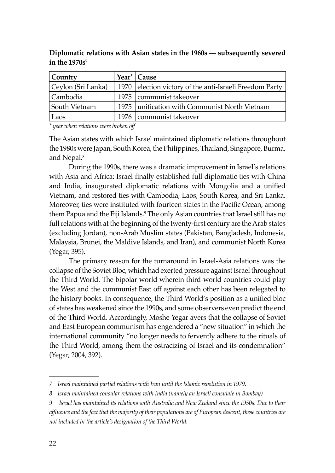| Country            | Year <sup>*</sup> $\vert$ Cause                           |
|--------------------|-----------------------------------------------------------|
| Ceylon (Sri Lanka) | 1970   election victory of the anti-Israeli Freedom Party |
| Cambodia           | 1975   communist takeover                                 |
| South Vietnam      | 1975   unification with Communist North Vietnam           |
| Laos               | 1976   communist takeover                                 |

**Diplomatic relations with Asian states in the 1960s — subsequently severed in the 1970s7**

*\* year when relations were broken off* 

The Asian states with which Israel maintained diplomatic relations throughout the 1980s were Japan, South Korea, the Philippines, Thailand, Singapore, Burma, and Nepal.8

During the 1990s, there was a dramatic improvement in Israel's relations with Asia and Africa: Israel finally established full diplomatic ties with China and India, inaugurated diplomatic relations with Mongolia and a unified Vietnam, and restored ties with Cambodia, Laos, South Korea, and Sri Lanka. Moreover, ties were instituted with fourteen states in the Pacific Ocean, among them Papua and the Fiji Islands.<sup>9</sup> The only Asian countries that Israel still has no full relations with at the beginning of the twenty-first century are the Arab states (excluding Jordan), non-Arab Muslim states (Pakistan, Bangladesh, Indonesia, Malaysia, Brunei, the Maldive Islands, and Iran), and communist North Korea (Yegar, 395).

The primary reason for the turnaround in Israel-Asia relations was the collapse of the Soviet Bloc, which had exerted pressure against Israel throughout the Third World. The bipolar world wherein third-world countries could play the West and the communist East off against each other has been relegated to the history books. In consequence, the Third World's position as a unified bloc of states has weakened since the 1990s, and some observers even predict the end of the Third World. Accordingly, Moshe Yegar avers that the collapse of Soviet and East European communism has engendered a "new situation" in which the international community "no longer needs to fervently adhere to the rituals of the Third World, among them the ostracizing of Israel and its condemnation" (Yegar, 2004, 392).

*<sup>7</sup> Israel maintained partial relations with Iran until the Islamic revolution in 1979.*

*<sup>8</sup> Israel maintained consular relations with India (namely an Israeli consulate in Bombay)*

*<sup>9</sup> Israel has maintained its relations with Australia and New Zealand since the 1950s. Due to their*  affluence and the fact that the majority of their populations are of European descent, these countries are *not included in the article's designation of the Third World.*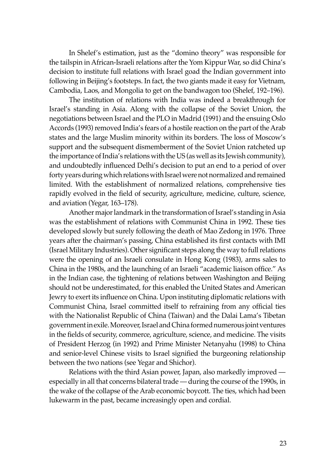In Shelef's estimation, just as the "domino theory" was responsible for the tailspin in African-Israeli relations after the Yom Kippur War, so did China's decision to institute full relations with Israel goad the Indian government into following in Beijing's footsteps. In fact, the two giants made it easy for Vietnam, Cambodia, Laos, and Mongolia to get on the bandwagon too (Shelef, 192–196).

The institution of relations with India was indeed a breakthrough for Israel's standing in Asia. Along with the collapse of the Soviet Union, the negotiations between Israel and the PLO in Madrid (1991) and the ensuing Oslo Accords (1993) removed India's fears of a hostile reaction on the part of the Arab states and the large Muslim minority within its borders. The loss of Moscow's support and the subsequent dismemberment of the Soviet Union ratcheted up the importance of India's relations with the US (as well as its Jewish community), and undoubtedly influenced Delhi's decision to put an end to a period of over forty years during which relations with Israel were not normalized and remained limited. With the establishment of normalized relations, comprehensive ties rapidly evolved in the field of security, agriculture, medicine, culture, science, and aviation (Yegar, 163–178).

Another major landmark in the transformation of Israel's standing in Asia was the establishment of relations with Communist China in 1992. These ties developed slowly but surely following the death of Mao Zedong in 1976. Three years after the chairman's passing, China established its first contacts with IMI (Israel Military Industries). Other significant steps along the way to full relations were the opening of an Israeli consulate in Hong Kong (1983), arms sales to China in the 1980s, and the launching of an Israeli "academic liaison office." As in the Indian case, the tightening of relations between Washington and Beijing should not be underestimated, for this enabled the United States and American Jewry to exert its influence on China. Upon instituting diplomatic relations with Communist China, Israel committed itself to refraining from any official ties with the Nationalist Republic of China (Taiwan) and the Dalai Lama's Tibetan government in exile. Moreover, Israel and China formed numerous joint ventures in the fields of security, commerce, agriculture, science, and medicine. The visits of President Herzog (in 1992) and Prime Minister Netanyahu (1998) to China and senior-level Chinese visits to Israel signified the burgeoning relationship between the two nations (see Yegar and Shichor).

Relations with the third Asian power, Japan, also markedly improved especially in all that concerns bilateral trade — during the course of the 1990s, in the wake of the collapse of the Arab economic boycott. The ties, which had been lukewarm in the past, became increasingly open and cordial.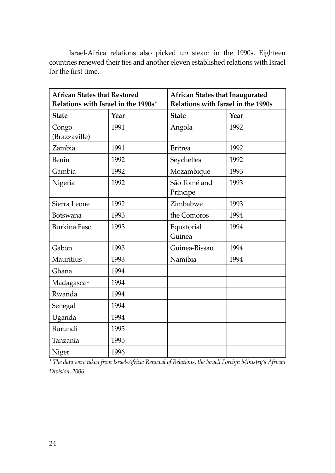Israel-Africa relations also picked up steam in the 1990s. Eighteen countries renewed their ties and another eleven established relations with Israel for the first time.

| <b>African States that Restored</b><br>Relations with Israel in the 1990s* |      | <b>African States that Inaugurated</b><br>Relations with Israel in the 1990s |      |  |
|----------------------------------------------------------------------------|------|------------------------------------------------------------------------------|------|--|
| <b>State</b>                                                               | Year | <b>State</b>                                                                 | Year |  |
| Congo<br>(Brazzaville)                                                     | 1991 | Angola                                                                       | 1992 |  |
| Zambia                                                                     | 1991 | Eritrea                                                                      | 1992 |  |
| Benin                                                                      | 1992 | Seychelles                                                                   | 1992 |  |
| Gambia                                                                     | 1992 | Mozambique                                                                   | 1993 |  |
| Nigeria                                                                    | 1992 | São Tomé and<br>Príncipe                                                     | 1993 |  |
| Sierra Leone                                                               | 1992 | Zimbabwe                                                                     | 1993 |  |
| Botswana                                                                   | 1993 | the Comoros                                                                  | 1994 |  |
| <b>Burkina Faso</b>                                                        | 1993 | Equatorial<br>Guinea                                                         | 1994 |  |
| Gabon                                                                      | 1993 | Guinea-Bissau                                                                | 1994 |  |
| Mauritius                                                                  | 1993 | Namibia                                                                      | 1994 |  |
| Ghana                                                                      | 1994 |                                                                              |      |  |
| Madagascar                                                                 | 1994 |                                                                              |      |  |
| Rwanda                                                                     | 1994 |                                                                              |      |  |
| Senegal                                                                    | 1994 |                                                                              |      |  |
| Uganda                                                                     | 1994 |                                                                              |      |  |
| Burundi                                                                    | 1995 |                                                                              |      |  |
| Tanzania                                                                   | 1995 |                                                                              |      |  |
| Niger                                                                      | 1996 |                                                                              |      |  |

*\* The data were taken from Israel-Africa: Renewal of Relations, the Israeli Foreign Ministry's African Division, 2006.*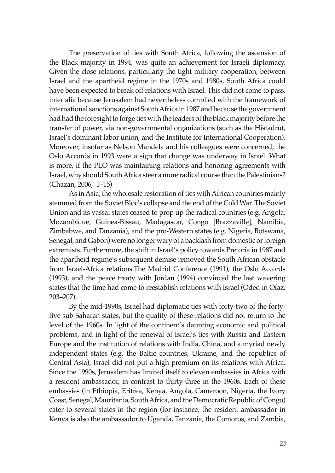The preservation of ties with South Africa, following the ascension of the Black majority in 1994, was quite an achievement for Israeli diplomacy. Given the close relations, particularly the tight military cooperation, between Israel and the apartheid regime in the 1970s and 1980s, South Africa could have been expected to break off relations with Israel. This did not come to pass, inter alia because Jerusalem had nevertheless complied with the framework of international sanctions against South Africa in 1987 and because the government had had the foresight to forge ties with the leaders of the black majority before the transfer of power, via non-governmental organizations (such as the Histadrut, Israel's dominant labor union, and the Institute for International Cooperation). Moreover, insofar as Nelson Mandela and his colleagues were concerned, the Oslo Accords in 1993 were a sign that change was underway in Israel. What is more, if the PLO was maintaining relations and honoring agreements with Israel, why should South Africa steer a more radical course than the Palestinians? (Chazan, 2006, 1–15)

As in Asia, the wholesale restoration of ties with African countries mainly stemmed from the Soviet Bloc's collapse and the end of the Cold War. The Soviet Union and its vassal states ceased to prop up the radical countries (e.g. Angola, Mozambique, Guinea-Bissau, Madagascar, Congo [Brazzaville], Namibia, Zimbabwe, and Tanzania), and the pro-Western states (e.g. Nigeria, Botswana, Senegal, and Gabon) were no longer wary of a backlash from domestic or foreign extremists. Furthermore, the shift in Israel's policy towards Pretoria in 1987 and the apartheid regime's subsequent demise removed the South African obstacle from Israel-Africa relations.The Madrid Conference (1991), the Oslo Accords (1993), and the peace treaty with Jordan (1994) convinced the last wavering states that the time had come to reestablish relations with Israel (Oded in Ofaz, 203–207).

By the mid-1990s, Israel had diplomatic ties with forty-two of the fortyfive sub-Saharan states, but the quality of these relations did not return to the level of the 1960s. In light of the continent's daunting economic and political problems, and in light of the renewal of Israel's ties with Russia and Eastern Europe and the institution of relations with India, China, and a myriad newly independent states (e.g. the Baltic countries, Ukraine, and the republics of Central Asia), Israel did not put a high premium on its relations with Africa. Since the 1990s, Jerusalem has limited itself to eleven embassies in Africa with a resident ambassador, in contrast to thirty-three in the 1960s. Each of these embassies (in Ethiopia, Eritrea, Kenya, Angola, Cameroon, Nigeria, the Ivory Coast, Senegal, Mauritania, South Africa, and the Democratic Republic of Congo) cater to several states in the region (for instance, the resident ambassador in Kenya is also the ambassador to Uganda, Tanzania, the Comoros, and Zambia,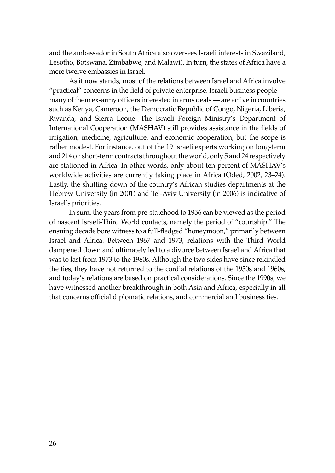and the ambassador in South Africa also oversees Israeli interests in Swaziland, Lesotho, Botswana, Zimbabwe, and Malawi). In turn, the states of Africa have a mere twelve embassies in Israel.

As it now stands, most of the relations between Israel and Africa involve "practical" concerns in the field of private enterprise. Israeli business people many of them ex-army officers interested in arms deals — are active in countries such as Kenya, Cameroon, the Democratic Republic of Congo, Nigeria, Liberia, Rwanda, and Sierra Leone. The Israeli Foreign Ministry's Department of International Cooperation (MASHAV) still provides assistance in the fields of irrigation, medicine, agriculture, and economic cooperation, but the scope is rather modest. For instance, out of the 19 Israeli experts working on long-term and 214 on short-term contracts throughout the world, only 5 and 24 respectively are stationed in Africa. In other words, only about ten percent of MASHAV's worldwide activities are currently taking place in Africa (Oded, 2002, 23–24). Lastly, the shutting down of the country's African studies departments at the Hebrew University (in 2001) and Tel-Aviv University (in 2006) is indicative of Israel's priorities.

In sum, the years from pre-statehood to 1956 can be viewed as the period of nascent Israeli-Third World contacts, namely the period of "courtship." The ensuing decade bore witness to a full-fledged "honeymoon," primarily between Israel and Africa. Between 1967 and 1973, relations with the Third World dampened down and ultimately led to a divorce between Israel and Africa that was to last from 1973 to the 1980s. Although the two sides have since rekindled the ties, they have not returned to the cordial relations of the 1950s and 1960s, and today's relations are based on practical considerations. Since the 1990s, we have witnessed another breakthrough in both Asia and Africa, especially in all that concerns official diplomatic relations, and commercial and business ties.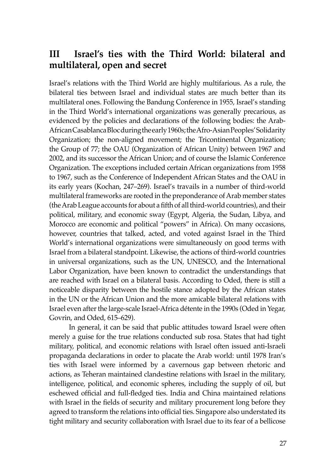### **III Israel's ties with the Third World: bilateral and multilateral, open and secret**

Israel's relations with the Third World are highly multifarious. As a rule, the bilateral ties between Israel and individual states are much better than its multilateral ones. Following the Bandung Conference in 1955, Israel's standing in the Third World's international organizations was generally precarious, as evidenced by the policies and declarations of the following bodies: the Arab-African Casablanca Bloc during the early 1960s; the Afro-Asian Peoples' Solidarity Organization; the non-aligned movement; the Tricontinental Organization; the Group of 77; the OAU (Organization of African Unity) between 1967 and 2002, and its successor the African Union; and of course the Islamic Conference Organization. The exceptions included certain African organizations from 1958 to 1967, such as the Conference of Independent African States and the OAU in its early years (Kochan, 247–269). Israel's travails in a number of third-world multilateral frameworks are rooted in the preponderance of Arab member states (the Arab League accounts for about a fifth of all third-world countries), and their political, military, and economic sway (Egypt, Algeria, the Sudan, Libya, and Morocco are economic and political "powers" in Africa). On many occasions, however, countries that talked, acted, and voted against Israel in the Third World's international organizations were simultaneously on good terms with Israel from a bilateral standpoint. Likewise, the actions of third-world countries in universal organizations, such as the UN, UNESCO, and the International Labor Organization, have been known to contradict the understandings that are reached with Israel on a bilateral basis. According to Oded, there is still a noticeable disparity between the hostile stance adopted by the African states in the UN or the African Union and the more amicable bilateral relations with Israel even after the large-scale Israel-Africa détente in the 1990s (Oded in Yegar, Govrin, and Oded, 615–629).

In general, it can be said that public attitudes toward Israel were often merely a guise for the true relations conducted sub rosa. States that had tight military, political, and economic relations with Israel often issued anti-Israeli propaganda declarations in order to placate the Arab world: until 1978 Iran's ties with Israel were informed by a cavernous gap between rhetoric and actions, as Teheran maintained clandestine relations with Israel in the military, intelligence, political, and economic spheres, including the supply of oil, but eschewed official and full-fledged ties. India and China maintained relations with Israel in the fields of security and military procurement long before they agreed to transform the relations into official ties. Singapore also understated its tight military and security collaboration with Israel due to its fear of a bellicose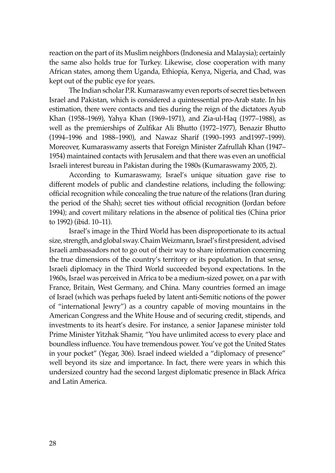reaction on the part of its Muslim neighbors (Indonesia and Malaysia); certainly the same also holds true for Turkey. Likewise, close cooperation with many African states, among them Uganda, Ethiopia, Kenya, Nigeria, and Chad, was kept out of the public eye for years.

The Indian scholar P.R. Kumaraswamy even reports of secret ties between Israel and Pakistan, which is considered a quintessential pro-Arab state. In his estimation, there were contacts and ties during the reign of the dictators Ayub Khan (1958–1969), Yahya Khan (1969–1971), and Zia-ul-Haq (1977–1988), as well as the premierships of Zulfikar Ali Bhutto (1972–1977), Benazir Bhutto (1994–1996 and 1988–1990), and Nawaz Sharif (1990–1993 and1997–1999). Moreover, Kumaraswamy asserts that Foreign Minister Zafrullah Khan (1947– 1954) maintained contacts with Jerusalem and that there was even an unofficial Israeli interest bureau in Pakistan during the 1980s (Kumaraswamy 2005, 2).

According to Kumaraswamy, Israel's unique situation gave rise to different models of public and clandestine relations, including the following: official recognition while concealing the true nature of the relations (Iran during the period of the Shah); secret ties without official recognition (Jordan before 1994); and covert military relations in the absence of political ties (China prior to 1992) (ibid. 10–11).

Israel's image in the Third World has been disproportionate to its actual size, strength, and global sway. Chaim Weizmann, Israel's first president, advised Israeli ambassadors not to go out of their way to share information concerning the true dimensions of the country's territory or its population. In that sense, Israeli diplomacy in the Third World succeeded beyond expectations. In the 1960s, Israel was perceived in Africa to be a medium-sized power, on a par with France, Britain, West Germany, and China. Many countries formed an image of Israel (which was perhaps fueled by latent anti-Semitic notions of the power of "international Jewry") as a country capable of moving mountains in the American Congress and the White House and of securing credit, stipends, and investments to its heart's desire. For instance, a senior Japanese minister told Prime Minister Yitzhak Shamir, "You have unlimited access to every place and boundless influence. You have tremendous power. You've got the United States in your pocket" (Yegar, 306). Israel indeed wielded a "diplomacy of presence" well beyond its size and importance. In fact, there were years in which this undersized country had the second largest diplomatic presence in Black Africa and Latin America.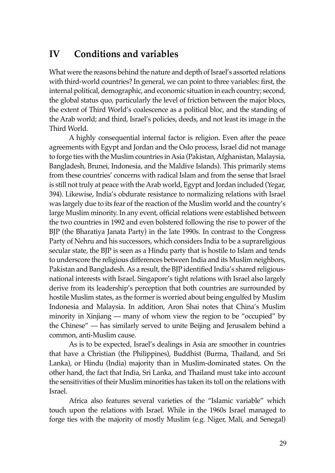## **IV Conditions and variables**

What were the reasons behind the nature and depth of Israel's assorted relations with third-world countries? In general, we can point to three variables: first, the internal political, demographic, and economic situation in each country; second, the global status quo, particularly the level of friction between the major blocs, the extent of Third World's coalescence as a political bloc, and the standing of the Arab world; and third, Israel's policies, deeds, and not least its image in the Third World.

A highly consequential internal factor is religion. Even after the peace agreements with Egypt and Jordan and the Oslo process, Israel did not manage to forge ties with the Muslim countries in Asia (Pakistan, Afghanistan, Malaysia, Bangladesh, Brunei, Indonesia, and the Maldive Islands). This primarily stems from these countries' concerns with radical Islam and from the sense that Israel is still not truly at peace with the Arab world, Egypt and Jordan included (Yegar, 394). Likewise, India's obdurate resistance to normalizing relations with Israel was largely due to its fear of the reaction of the Muslim world and the country's large Muslim minority. In any event, official relations were established between the two countries in 1992 and even bolstered following the rise to power of the BJP (the Bharatiya Janata Party) in the late 1990s. In contrast to the Congress Party of Nehru and his successors, which considers India to be a suprareligious secular state, the BJP is seen as a Hindu party that is hostile to Islam and tends to underscore the religious differences between India and its Muslim neighbors, Pakistan and Bangladesh. As a result, the BJP identified India's shared religiousnational interests with Israel. Singapore's tight relations with Israel also largely derive from its leadership's perception that both countries are surrounded by hostile Muslim states, as the former is worried about being engulfed by Muslim Indonesia and Malaysia. In addition, Aron Shai notes that China's Muslim minority in Xinjiang — many of whom view the region to be "occupied" by the Chinese" — has similarly served to unite Beijing and Jerusalem behind a common, anti-Muslim cause.

As is to be expected, Israel's dealings in Asia are smoother in countries that have a Christian (the Philippines), Buddhist (Burma, Thailand, and Sri Lanka), or Hindu (India) majority than in Muslim-dominated states. On the other hand, the fact that India, Sri Lanka, and Thailand must take into account the sensitivities of their Muslim minorities has taken its toll on the relations with Israel.

Africa also features several varieties of the "Islamic variable" which touch upon the relations with Israel. While in the 1960s Israel managed to forge ties with the majority of mostly Muslim (e.g. Niger, Mali, and Senegal)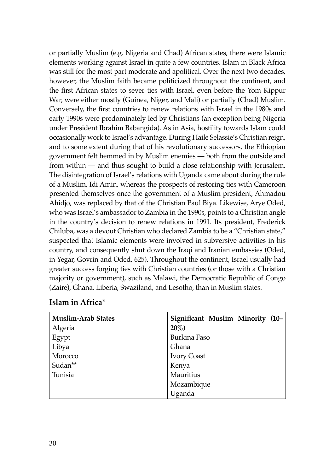or partially Muslim (e.g. Nigeria and Chad) African states, there were Islamic elements working against Israel in quite a few countries. Islam in Black Africa was still for the most part moderate and apolitical. Over the next two decades, however, the Muslim faith became politicized throughout the continent, and the first African states to sever ties with Israel, even before the Yom Kippur War, were either mostly (Guinea, Niger, and Mali) or partially (Chad) Muslim. Conversely, the first countries to renew relations with Israel in the 1980s and early 1990s were predominately led by Christians (an exception being Nigeria under President Ibrahim Babangida). As in Asia, hostility towards Islam could occasionally work to Israel's advantage. During Haile Selassie's Christian reign, and to some extent during that of his revolutionary successors, the Ethiopian government felt hemmed in by Muslim enemies — both from the outside and from within — and thus sought to build a close relationship with Jerusalem. The disintegration of Israel's relations with Uganda came about during the rule of a Muslim, Idi Amin, whereas the prospects of restoring ties with Cameroon presented themselves once the government of a Muslim president, Ahmadou Ahidjo, was replaced by that of the Christian Paul Biya. Likewise, Arye Oded, who was Israel's ambassador to Zambia in the 1990s, points to a Christian angle in the country's decision to renew relations in 1991. Its president, Frederick Chiluba, was a devout Christian who declared Zambia to be a "Christian state," suspected that Islamic elements were involved in subversive activities in his country, and consequently shut down the Iraqi and Iranian embassies (Oded, in Yegar, Govrin and Oded, 625). Throughout the continent, Israel usually had greater success forging ties with Christian countries (or those with a Christian majority or government), such as Malawi, the Democratic Republic of Congo (Zaire), Ghana, Liberia, Swaziland, and Lesotho, than in Muslim states.

| <b>Muslim-Arab States</b> | Significant Muslim Minority (10- |
|---------------------------|----------------------------------|
| Algeria                   | $20\%)$                          |
| Egypt                     | Burkina Faso                     |
| Libya                     | Ghana                            |
| Morocco                   | <b>Ivory Coast</b>               |
| Sudan**                   | Kenya                            |
| Tunisia                   | Mauritius                        |
|                           | Mozambique                       |
|                           | Uganda                           |

#### **Islam in Africa\***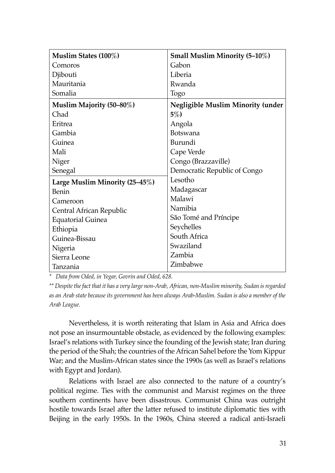| Muslim States (100%)           | Small Muslim Minority (5-10%)            |
|--------------------------------|------------------------------------------|
| Comoros                        | Gabon                                    |
| Djibouti                       | Liberia                                  |
| Mauritania                     | Rwanda                                   |
| Somalia                        | Togo                                     |
| Muslim Majority (50-80%)       | <b>Negligible Muslim Minority (under</b> |
| Chad                           | $5\%)$                                   |
| Eritrea                        | Angola                                   |
| Gambia                         | <b>Botswana</b>                          |
| Guinea                         | Burundi                                  |
| Mali                           | Cape Verde                               |
| Niger                          | Congo (Brazzaville)                      |
| Senegal                        | Democratic Republic of Congo             |
| Large Muslim Minority (25–45%) | Lesotho                                  |
| Benin                          | Madagascar                               |
| Cameroon                       | Malawi                                   |
| Central African Republic       | Namibia                                  |
| <b>Equatorial Guinea</b>       | São Tomé and Príncipe                    |
| Ethiopia                       | Seychelles                               |
| Guinea-Bissau                  | South Africa                             |
| Nigeria                        | Swaziland                                |
| Sierra Leone                   | Zambia                                   |
| Tanzania                       | Zimbabwe                                 |

*\* Data from Oded, in Yegar, Govrin and Oded, 628.*

*\*\* Despite the fact that it has a very large non-Arab, African, non-Muslim minority, Sudan is regarded as an Arab state because its government has been always Arab-Muslim. Sudan is also a member of the Arab League.*

Nevertheless, it is worth reiterating that Islam in Asia and Africa does not pose an insurmountable obstacle, as evidenced by the following examples: Israel's relations with Turkey since the founding of the Jewish state; Iran during the period of the Shah; the countries of the African Sahel before the Yom Kippur War; and the Muslim-African states since the 1990s (as well as Israel's relations with Egypt and Jordan).

Relations with Israel are also connected to the nature of a country's political regime. Ties with the communist and Marxist regimes on the three southern continents have been disastrous. Communist China was outright hostile towards Israel after the latter refused to institute diplomatic ties with Beijing in the early 1950s. In the 1960s, China steered a radical anti-Israeli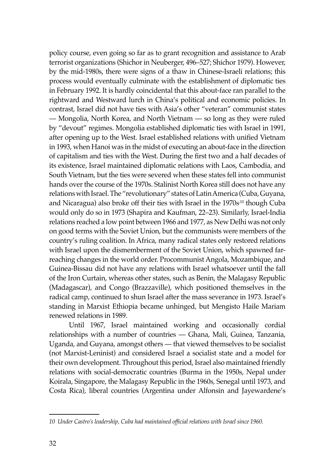policy course, even going so far as to grant recognition and assistance to Arab terrorist organizations (Shichor in Neuberger, 496–527; Shichor 1979). However, by the mid-1980s, there were signs of a thaw in Chinese-Israeli relations; this process would eventually culminate with the establishment of diplomatic ties in February 1992. It is hardly coincidental that this about-face ran parallel to the rightward and Westward lurch in China's political and economic policies. In contrast, Israel did not have ties with Asia's other "veteran" communist states — Mongolia, North Korea, and North Vietnam — so long as they were ruled by "devout" regimes. Mongolia established diplomatic ties with Israel in 1991, after opening up to the West. Israel established relations with unified Vietnam in 1993, when Hanoi was in the midst of executing an about-face in the direction of capitalism and ties with the West. During the first two and a half decades of its existence, Israel maintained diplomatic relations with Laos, Cambodia, and South Vietnam, but the ties were severed when these states fell into communist hands over the course of the 1970s. Stalinist North Korea still does not have any relations with Israel. The "revolutionary" states of Latin America (Cuba, Guyana, and Nicaragua) also broke off their ties with Israel in the 1970s<sup>10</sup> though Cuba would only do so in 1973 (Shapira and Kaufman, 22–23). Similarly, Israel-India relations reached a low point between 1966 and 1977, as New Delhi was not only on good terms with the Soviet Union, but the communists were members of the country's ruling coalition. In Africa, many radical states only restored relations with Israel upon the dismemberment of the Soviet Union, which spawned farreaching changes in the world order. Procommunist Angola, Mozambique, and Guinea-Bissau did not have any relations with Israel whatsoever until the fall of the Iron Curtain, whereas other states, such as Benin, the Malagasy Republic (Madagascar), and Congo (Brazzaville), which positioned themselves in the radical camp, continued to shun Israel after the mass severance in 1973. Israel's standing in Marxist Ethiopia became unhinged, but Mengisto Haile Mariam renewed relations in 1989.

Until 1967, Israel maintained working and occasionally cordial relationships with a number of countries — Ghana, Mali, Guinea, Tanzania, Uganda, and Guyana, amongst others — that viewed themselves to be socialist (not Marxist-Leninist) and considered Israel a socialist state and a model for their own development. Throughout this period, Israel also maintained friendly relations with social-democratic countries (Burma in the 1950s, Nepal under Koirala, Singapore, the Malagasy Republic in the 1960s, Senegal until 1973, and Costa Rica), liberal countries (Argentina under Alfonsin and Jayewardene's

*<sup>10</sup> Under Castro's leadership, Cuba had maintained official relations with Israel since 1960.*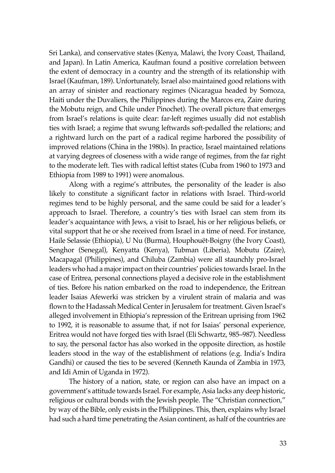Sri Lanka), and conservative states (Kenya, Malawi, the Ivory Coast, Thailand, and Japan). In Latin America, Kaufman found a positive correlation between the extent of democracy in a country and the strength of its relationship with Israel (Kaufman, 189). Unfortunately, Israel also maintained good relations with an array of sinister and reactionary regimes (Nicaragua headed by Somoza, Haiti under the Duvaliers, the Philippines during the Marcos era, Zaire during the Mobutu reign, and Chile under Pinochet). The overall picture that emerges from Israel's relations is quite clear: far-left regimes usually did not establish ties with Israel; a regime that swung leftwards soft-pedalled the relations; and a rightward lurch on the part of a radical regime harbored the possibility of improved relations (China in the 1980s). In practice, Israel maintained relations at varying degrees of closeness with a wide range of regimes, from the far right to the moderate left. Ties with radical leftist states (Cuba from 1960 to 1973 and Ethiopia from 1989 to 1991) were anomalous.

Along with a regime's attributes, the personality of the leader is also likely to constitute a significant factor in relations with Israel. Third-world regimes tend to be highly personal, and the same could be said for a leader's approach to Israel. Therefore, a country's ties with Israel can stem from its leader's acquaintance with Jews, a visit to Israel, his or her religious beliefs, or vital support that he or she received from Israel in a time of need. For instance, Haile Selassie (Ethiopia), U Nu (Burma), Houphouët-Boigny (the Ivory Coast), Senghor (Senegal), Kenyatta (Kenya), Tubman (Liberia), Mobutu (Zaire), Macapagal (Philippines), and Chiluba (Zambia) were all staunchly pro-Israel leaders who had a major impact on their countries' policies towards Israel. In the case of Eritrea, personal connections played a decisive role in the establishment of ties. Before his nation embarked on the road to independence, the Eritrean leader Isaias Afewerki was stricken by a virulent strain of malaria and was flown to the Hadassah Medical Center in Jerusalem for treatment. Given Israel's alleged involvement in Ethiopia's repression of the Eritrean uprising from 1962 to 1992, it is reasonable to assume that, if not for Isaias' personal experience, Eritrea would not have forged ties with Israel (Eli Schwartz, 985–987). Needless to say, the personal factor has also worked in the opposite direction, as hostile leaders stood in the way of the establishment of relations (e.g. India's Indira Gandhi) or caused the ties to be severed (Kenneth Kaunda of Zambia in 1973, and Idi Amin of Uganda in 1972).

The history of a nation, state, or region can also have an impact on a government's attitude towards Israel. For example, Asia lacks any deep historic, religious or cultural bonds with the Jewish people. The "Christian connection," by way of the Bible, only exists in the Philippines. This, then, explains why Israel had such a hard time penetrating the Asian continent, as half of the countries are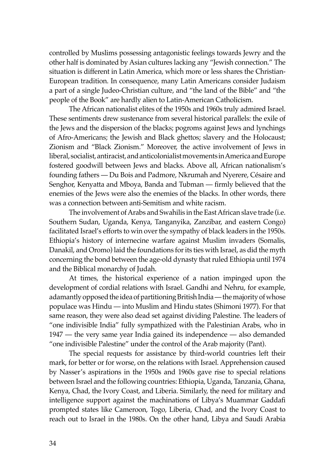controlled by Muslims possessing antagonistic feelings towards Jewry and the other half is dominated by Asian cultures lacking any "Jewish connection." The situation is different in Latin America, which more or less shares the Christian-European tradition. In consequence, many Latin Americans consider Judaism a part of a single Judeo-Christian culture, and "the land of the Bible" and "the people of the Book" are hardly alien to Latin-American Catholicism.

The African nationalist elites of the 1950s and 1960s truly admired Israel. These sentiments drew sustenance from several historical parallels: the exile of the Jews and the dispersion of the blacks; pogroms against Jews and lynchings of Afro-Americans; the Jewish and Black ghettos; slavery and the Holocaust; Zionism and "Black Zionism." Moreover, the active involvement of Jews in liberal, socialist, antiracist, and anticolonialist movements in America and Europe fostered goodwill between Jews and blacks. Above all, African nationalism's founding fathers — Du Bois and Padmore, Nkrumah and Nyerere, Césaire and Senghor, Kenyatta and Mboya, Banda and Tubman — firmly believed that the enemies of the Jews were also the enemies of the blacks. In other words, there was a connection between anti-Semitism and white racism.

The involvement of Arabs and Swahilis in the East African slave trade (i.e. Southern Sudan, Uganda, Kenya, Tanganyika, Zanzibar, and eastern Congo) facilitated Israel's efforts to win over the sympathy of black leaders in the 1950s. Ethiopia's history of internecine warfare against Muslim invaders (Somalis, Danakil, and Oromo) laid the foundations for its ties with Israel, as did the myth concerning the bond between the age-old dynasty that ruled Ethiopia until 1974 and the Biblical monarchy of Judah.

At times, the historical experience of a nation impinged upon the development of cordial relations with Israel. Gandhi and Nehru, for example, adamantly opposed the idea of partitioning British India — the majority of whose populace was Hindu — into Muslim and Hindu states (Shimoni 1977). For that same reason, they were also dead set against dividing Palestine. The leaders of "one indivisible India" fully sympathized with the Palestinian Arabs, who in 1947 — the very same year India gained its independence — also demanded "one indivisible Palestine" under the control of the Arab majority (Pant).

The special requests for assistance by third-world countries left their mark, for better or for worse, on the relations with Israel. Apprehension caused by Nasser's aspirations in the 1950s and 1960s gave rise to special relations between Israel and the following countries: Ethiopia, Uganda, Tanzania, Ghana, Kenya, Chad, the Ivory Coast, and Liberia. Similarly, the need for military and intelligence support against the machinations of Libya's Muammar Gaddafi prompted states like Cameroon, Togo, Liberia, Chad, and the Ivory Coast to reach out to Israel in the 1980s. On the other hand, Libya and Saudi Arabia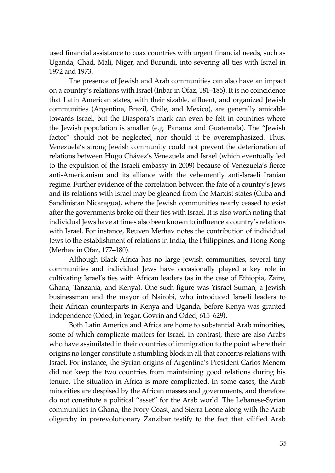used financial assistance to coax countries with urgent financial needs, such as Uganda, Chad, Mali, Niger, and Burundi, into severing all ties with Israel in 1972 and 1973.

The presence of Jewish and Arab communities can also have an impact on a country's relations with Israel (Inbar in Ofaz, 181–185). It is no coincidence that Latin American states, with their sizable, affluent, and organized Jewish communities (Argentina, Brazil, Chile, and Mexico), are generally amicable towards Israel, but the Diaspora's mark can even be felt in countries where the Jewish population is smaller (e.g. Panama and Guatemala). The "Jewish factor" should not be neglected, nor should it be overemphasized. Thus, Venezuela's strong Jewish community could not prevent the deterioration of relations between Hugo Chávez's Venezuela and Israel (which eventually led to the expulsion of the Israeli embassy in 2009) because of Venezuela's fierce anti-Americanism and its alliance with the vehemently anti-Israeli Iranian regime. Further evidence of the correlation between the fate of a country's Jews and its relations with Israel may be gleaned from the Marxist states (Cuba and Sandinistan Nicaragua), where the Jewish communities nearly ceased to exist after the governments broke off their ties with Israel. It is also worth noting that individual Jews have at times also been known to influence a country's relations with Israel. For instance, Reuven Merhav notes the contribution of individual Jews to the establishment of relations in India, the Philippines, and Hong Kong (Merhav in Ofaz, 177–180).

Although Black Africa has no large Jewish communities, several tiny communities and individual Jews have occasionally played a key role in cultivating Israel's ties with African leaders (as in the case of Ethiopia, Zaire, Ghana, Tanzania, and Kenya). One such figure was Yisrael Suman, a Jewish businessman and the mayor of Nairobi, who introduced Israeli leaders to their African counterparts in Kenya and Uganda, before Kenya was granted independence (Oded, in Yegar, Govrin and Oded, 615–629).

Both Latin America and Africa are home to substantial Arab minorities, some of which complicate matters for Israel. In contrast, there are also Arabs who have assimilated in their countries of immigration to the point where their origins no longer constitute a stumbling block in all that concerns relations with Israel. For instance, the Syrian origins of Argentina's President Carlos Menem did not keep the two countries from maintaining good relations during his tenure. The situation in Africa is more complicated. In some cases, the Arab minorities are despised by the African masses and governments, and therefore do not constitute a political "asset" for the Arab world. The Lebanese-Syrian communities in Ghana, the Ivory Coast, and Sierra Leone along with the Arab oligarchy in prerevolutionary Zanzibar testify to the fact that vilified Arab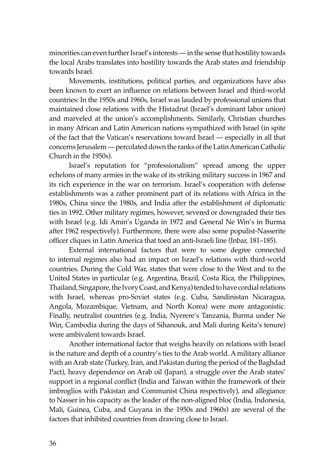minorities can even further Israel's interests — in the sense that hostility towards the local Arabs translates into hostility towards the Arab states and friendship towards Israel.

Movements, institutions, political parties, and organizations have also been known to exert an influence on relations between Israel and third-world countries: In the 1950s and 1960s, Israel was lauded by professional unions that maintained close relations with the Histadrut (Israel's dominant labor union) and marveled at the union's accomplishments. Similarly, Christian churches in many African and Latin American nations sympathized with Israel (in spite of the fact that the Vatican's reservations toward Israel — especially in all that concerns Jerusalem — percolated down the ranks of the Latin American Catholic Church in the 1950s).

Israel's reputation for "professionalism" spread among the upper echelons of many armies in the wake of its striking military success in 1967 and its rich experience in the war on terrorism. Israel's cooperation with defense establishments was a rather prominent part of its relations with Africa in the 1980s, China since the 1980s, and India after the establishment of diplomatic ties in 1992. Other military regimes, however, severed or downgraded their ties with Israel (e.g. Idi Amin's Uganda in 1972 and General Ne Win's in Burma after 1962 respectively). Furthermore, there were also some populist-Nasserite officer cliques in Latin America that toed an anti-Israeli line (Inbar, 181–185).

External international factors that were to some degree connected to internal regimes also had an impact on Israel's relations with third-world countries. During the Cold War, states that were close to the West and to the United States in particular (e.g. Argentina, Brazil, Costa Rica, the Philippines, Thailand, Singapore, the Ivory Coast, and Kenya) tended to have cordial relations with Israel, whereas pro-Soviet states (e.g. Cuba, Sandinistan Nicaragua, Angola, Mozambique, Vietnam, and North Korea) were more antagonistic. Finally, neutralist countries (e.g. India, Nyerere's Tanzania, Burma under Ne Win, Cambodia during the days of Sihanouk, and Mali during Keita's tenure) were ambivalent towards Israel.

Another international factor that weighs heavily on relations with Israel is the nature and depth of a country's ties to the Arab world. A military alliance with an Arab state (Turkey, Iran, and Pakistan during the period of the Baghdad Pact), heavy dependence on Arab oil (Japan), a struggle over the Arab states' support in a regional conflict (India and Taiwan within the framework of their imbroglios with Pakistan and Communist China respectively), and allegiance to Nasser in his capacity as the leader of the non-aligned bloc (India, Indonesia, Mali, Guinea, Cuba, and Guyana in the 1950s and 1960s) are several of the factors that inhibited countries from drawing close to Israel.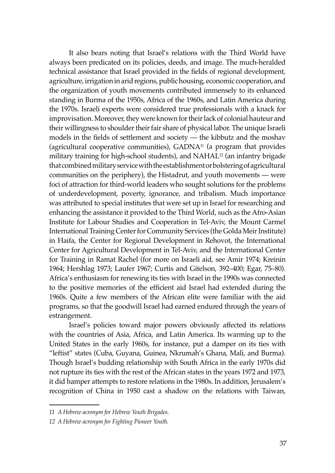It also bears noting that Israel's relations with the Third World have always been predicated on its policies, deeds, and image. The much-heralded technical assistance that Israel provided in the fields of regional development, agriculture, irrigation in arid regions, public housing, economic cooperation, and the organization of youth movements contributed immensely to its enhanced standing in Burma of the 1950s, Africa of the 1960s, and Latin America during the 1970s. Israeli experts were considered true professionals with a knack for improvisation. Moreover, they were known for their lack of colonial hauteur and their willingness to shoulder their fair share of physical labor. The unique Israeli models in the fields of settlement and society — the kibbutz and the moshav (agricultural cooperative communities), GADNA11 (a program that provides military training for high-school students), and NAHAL12 (an infantry brigade that combined military service with the establishment or bolstering of agricultural communities on the periphery), the Histadrut, and youth movements — were foci of attraction for third-world leaders who sought solutions for the problems of underdevelopment, poverty, ignorance, and tribalism. Much importance was attributed to special institutes that were set up in Israel for researching and enhancing the assistance it provided to the Third World, such as the Afro-Asian Institute for Labour Studies and Cooperation in Tel-Aviv, the Mount Carmel International Training Center for Community Services (the Golda Meir Institute) in Haifa, the Center for Regional Development in Rehovot, the International Center for Agricultural Development in Tel-Aviv, and the International Center for Training in Ramat Rachel (for more on Israeli aid, see Amir 1974; Kreinin 1964; Hershlag 1973; Laufer 1967; Curtis and Gitelson, 392–400; Egar, 75–80). Africa's enthusiasm for renewing its ties with Israel in the 1990s was connected to the positive memories of the efficient aid Israel had extended during the 1960s. Quite a few members of the African elite were familiar with the aid programs, so that the goodwill Israel had earned endured through the years of estrangement.

Israel's policies toward major powers obviously affected its relations with the countries of Asia, Africa, and Latin America. Its warming up to the United States in the early 1960s, for instance, put a damper on its ties with "leftist" states (Cuba, Guyana, Guinea, Nkrumah's Ghana, Mali, and Burma). Though Israel's budding relationship with South Africa in the early 1970s did not rupture its ties with the rest of the African states in the years 1972 and 1973, it did hamper attempts to restore relations in the 1980s. In addition, Jerusalem's recognition of China in 1950 cast a shadow on the relations with Taiwan,

*<sup>11</sup> A Hebrew acronym for Hebrew Youth Brigades.*

*<sup>12</sup> A Hebrew acronym for Fighting Pioneer Youth.*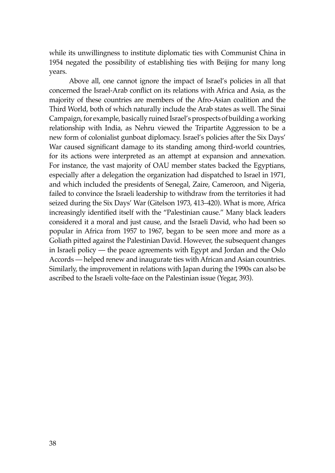while its unwillingness to institute diplomatic ties with Communist China in 1954 negated the possibility of establishing ties with Beijing for many long years.

Above all, one cannot ignore the impact of Israel's policies in all that concerned the Israel-Arab conflict on its relations with Africa and Asia, as the majority of these countries are members of the Afro-Asian coalition and the Third World, both of which naturally include the Arab states as well. The Sinai Campaign, for example, basically ruined Israel's prospects of building a working relationship with India, as Nehru viewed the Tripartite Aggression to be a new form of colonialist gunboat diplomacy. Israel's policies after the Six Days' War caused significant damage to its standing among third-world countries, for its actions were interpreted as an attempt at expansion and annexation. For instance, the vast majority of OAU member states backed the Egyptians, especially after a delegation the organization had dispatched to Israel in 1971, and which included the presidents of Senegal, Zaire, Cameroon, and Nigeria, failed to convince the Israeli leadership to withdraw from the territories it had seized during the Six Days' War (Gitelson 1973, 413–420). What is more, Africa increasingly identified itself with the "Palestinian cause." Many black leaders considered it a moral and just cause, and the Israeli David, who had been so popular in Africa from 1957 to 1967, began to be seen more and more as a Goliath pitted against the Palestinian David. However, the subsequent changes in Israeli policy — the peace agreements with Egypt and Jordan and the Oslo Accords — helped renew and inaugurate ties with African and Asian countries. Similarly, the improvement in relations with Japan during the 1990s can also be ascribed to the Israeli volte-face on the Palestinian issue (Yegar, 393).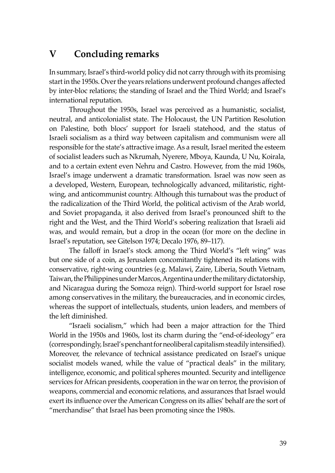## **V Concluding remarks**

In summary, Israel's third-world policy did not carry through with its promising start in the 1950s. Over the years relations underwent profound changes affected by inter-bloc relations; the standing of Israel and the Third World; and Israel's international reputation.

Throughout the 1950s, Israel was perceived as a humanistic, socialist, neutral, and anticolonialist state. The Holocaust, the UN Partition Resolution on Palestine, both blocs' support for Israeli statehood, and the status of Israeli socialism as a third way between capitalism and communism were all responsible for the state's attractive image. As a result, Israel merited the esteem of socialist leaders such as Nkrumah, Nyerere, Mboya, Kaunda, U Nu, Koirala, and to a certain extent even Nehru and Castro. However, from the mid 1960s, Israel's image underwent a dramatic transformation. Israel was now seen as a developed, Western, European, technologically advanced, militaristic, rightwing, and anticommunist country. Although this turnabout was the product of the radicalization of the Third World, the political activism of the Arab world, and Soviet propaganda, it also derived from Israel's pronounced shift to the right and the West, and the Third World's sobering realization that Israeli aid was, and would remain, but a drop in the ocean (for more on the decline in Israel's reputation, see Gitelson 1974; Decalo 1976, 89–117).

The falloff in Israel's stock among the Third World's "left wing" was but one side of a coin, as Jerusalem concomitantly tightened its relations with conservative, right-wing countries (e.g. Malawi, Zaire, Liberia, South Vietnam, Taiwan, the Philippines under Marcos, Argentina under the military dictatorship, and Nicaragua during the Somoza reign). Third-world support for Israel rose among conservatives in the military, the bureaucracies, and in economic circles, whereas the support of intellectuals, students, union leaders, and members of the left diminished.

"Israeli socialism," which had been a major attraction for the Third World in the 1950s and 1960s, lost its charm during the "end-of-ideology" era (correspondingly, Israel's penchant for neoliberal capitalism steadily intensified). Moreover, the relevance of technical assistance predicated on Israel's unique socialist models waned, while the value of "practical deals" in the military, intelligence, economic, and political spheres mounted. Security and intelligence services for African presidents, cooperation in the war on terror, the provision of weapons, commercial and economic relations, and assurances that Israel would exert its influence over the American Congress on its allies' behalf are the sort of "merchandise" that Israel has been promoting since the 1980s.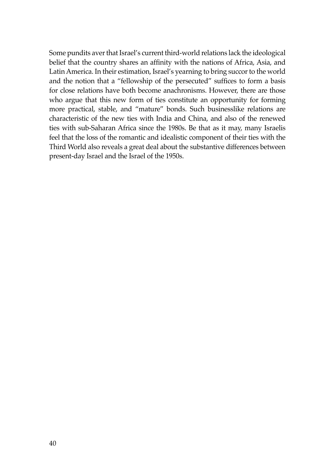Some pundits aver that Israel's current third-world relations lack the ideological belief that the country shares an affinity with the nations of Africa, Asia, and Latin America. In their estimation, Israel's yearning to bring succor to the world and the notion that a "fellowship of the persecuted" suffices to form a basis for close relations have both become anachronisms. However, there are those who argue that this new form of ties constitute an opportunity for forming more practical, stable, and "mature" bonds. Such businesslike relations are characteristic of the new ties with India and China, and also of the renewed ties with sub-Saharan Africa since the 1980s. Be that as it may, many Israelis feel that the loss of the romantic and idealistic component of their ties with the Third World also reveals a great deal about the substantive differences between present-day Israel and the Israel of the 1950s.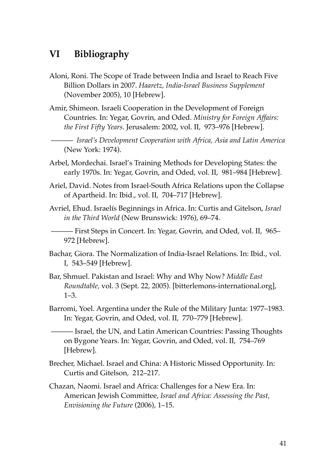## **VI Bibliography**

- Aloni, Roni. The Scope of Trade between India and Israel to Reach Five Billion Dollars in 2007. *Haaretz, India-Israel Business Supplement* (November 2005), 10 [Hebrew].
- Amir, Shimeon. Israeli Cooperation in the Development of Foreign Countries. In: Yegar, Govrin, and Oded. *Ministry for Foreign Affairs: the First Fifty Years*. Jerusalem: 2002, vol. II, 973–976 [Hebrew].

 ——— *Israel's Development Cooperation with Africa, Asia and Latin America* (New York: 1974).

- Arbel, Mordechai. Israel's Training Methods for Developing States: the early 1970s. In: Yegar, Govrin, and Oded, vol. II, 981–984 [Hebrew].
- Ariel, David. Notes from Israel-South Africa Relations upon the Collapse of Apartheid. In: Ibid., vol. II, 704–717 [Hebrew].
- Avriel, Ehud. Israelís Beginnings in Africa. In: Curtis and Gitelson, *Israel in the Third World* (New Brunswick: 1976), 69–74.

 ——— First Steps in Concert. In: Yegar, Govrin, and Oded, vol. II, 965– 972 [Hebrew].

- Bachar, Giora. The Normalization of India-Israel Relations. In: Ibid., vol. I, 543–549 [Hebrew].
- Bar, Shmuel. Pakistan and Israel: Why and Why Now? *Middle East Roundtable,* vol. 3 (Sept. 22, 2005). [bitterlemons-international.org], 1–3.
- Barromi, Yoel. Argentina under the Rule of the Military Junta: 1977–1983. In: Yegar, Govrin, and Oded, vol. II, 770–779 [Hebrew].

 ——— Israel, the UN, and Latin American Countries: Passing Thoughts on Bygone Years. In: Yegar, Govrin, and Oded, vol. II, 754–769 [Hebrew].

- Brecher, Michael. Israel and China: A Historic Missed Opportunity. In: Curtis and Gitelson*,* 212–217.
- Chazan, Naomi. Israel and Africa: Challenges for a New Era. In: American Jewish Committee, *Israel and Africa: Assessing the Past, Envisioning the Future* (2006), 1–15.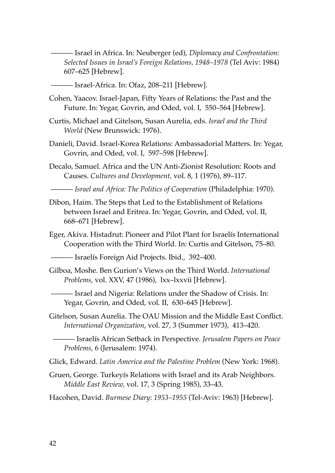——— Israel in Africa. In: Neuberger (ed), *Diplomacy and Confrontation: Selected Issues in Israel's Foreign Relations, 1948–1978* (Tel Aviv: 1984) 607–625 [Hebrew].

——— Israel-Africa. In: Ofaz, 208–211 [Hebrew].

- Cohen, Yaacov. Israel-Japan, Fifty Years of Relations: the Past and the Future. In: Yegar, Govrin, and Oded, vol. I, 550–564 [Hebrew].
- Curtis, Michael and Gitelson, Susan Aurelia, eds. *Israel and the Third World* (New Brunswick: 1976).
- Danieli, David. Israel-Korea Relations: Ambassadorial Matters. In: Yegar, Govrin, and Oded, vol. I, 597–598 [Hebrew].
- Decalo, Samuel. Africa and the UN Anti-Zionist Resolution: Roots and Causes. *Cultures and Development,* vol. 8, 1 (1976), 89–117.

——— *Israel and Africa: The Politics of Cooperation* (Philadelphia: 1970).

- Dibon, Haim. The Steps that Led to the Establishment of Relations between Israel and Eritrea. In: Yegar, Govrin, and Oded, vol. II, 668–671 [Hebrew].
- Eger, Akiva. Histadrut: Pioneer and Pilot Plant for Israelís International Cooperation with the Third World. In: Curtis and Gitelson, 75–80.

——— Israelís Foreign Aid Projects. Ibid., 392–400.

Gilboa, Moshe. Ben Gurion's Views on the Third World. *International Problems*, vol. XXV, 47 (1986), lxx–lxxvii [Hebrew].

 ——— Israel and Nigeria: Relations under the Shadow of Crisis. In: Yegar, Govrin, and Oded, vol. II, 630–645 [Hebrew].

Gitelson, Susan Aurelia. The OAU Mission and the Middle East Conflict. *International Organization*, vol. 27, 3 (Summer 1973), 413–420.

 ——— Israelís African Setback in Perspective. *Jerusalem Papers on Peace Problems*, 6 (Jerusalem: 1974).

Glick, Edward. *Latin America and the Palestine Problem* (New York: 1968).

- Gruen, George. Turkeyís Relations with Israel and its Arab Neighbors. *Middle East Review,* vol. 17, 3 (Spring 1985), 33–43.
- Hacohen, David. *Burmese Diary*: *1953–1955* (Tel-Aviv: 1963) [Hebrew].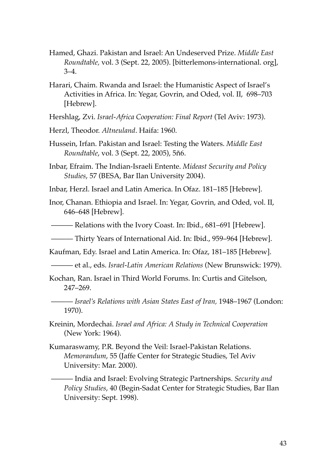- Hamed, Ghazi. Pakistan and Israel: An Undeserved Prize. *Middle East Roundtable,* vol. 3 (Sept. 22, 2005). [bitterlemons-international. org], 3–4.
- Harari, Chaim. Rwanda and Israel: the Humanistic Aspect of Israel's Activities in Africa. In: Yegar, Govrin, and Oded, vol. II, 698–703 [Hebrew].

Hershlag, Zvi. *Israel-Africa Cooperation: Final Report* (Tel Aviv: 1973).

- Herzl, Theodor. *Altneuland*. Haifa: 1960.
- Hussein, Irfan. Pakistan and Israel: Testing the Waters. *Middle East Roundtable*, vol. 3 (Sept. 22, 2005), 5ñ6.
- Inbar, Efraim. The Indian-Israeli Entente. *Mideast Security and Policy Studies*, 57 (BESA, Bar Ilan University 2004).
- Inbar, Herzl. Israel and Latin America. In Ofaz. 181–185 [Hebrew].
- Inor, Chanan. Ethiopia and Israel. In: Yegar, Govrin, and Oded, vol. II, 646–648 [Hebrew].
- ——— Relations with the Ivory Coast. In: Ibid., 681–691 [Hebrew].

——— Thirty Years of International Aid. In: Ibid., 959–964 [Hebrew].

Kaufman, Edy. Israel and Latin America. In: Ofaz, 181–185 [Hebrew].

- ——— et al., eds. *Israel-Latin American Relations* (New Brunswick: 1979).
- Kochan, Ran. Israel in Third World Forums. In: Curtis and Gitelson, 247–269.
- ——— *Israel's Relations with Asian States East of Iran,* 1948–1967 (London: 1970).
- Kreinin, Mordechai. *Israel and Africa: A Study in Technical Cooperation* (New York: 1964).
- Kumaraswamy, P.R. Beyond the Veil: Israel-Pakistan Relations. *Memorandum*, 55 (Jaffe Center for Strategic Studies, Tel Aviv University: Mar. 2000).

 ——— India and Israel: Evolving Strategic Partnerships. *Security and Policy Studies*, 40 (Begin-Sadat Center for Strategic Studies, Bar Ilan University: Sept. 1998).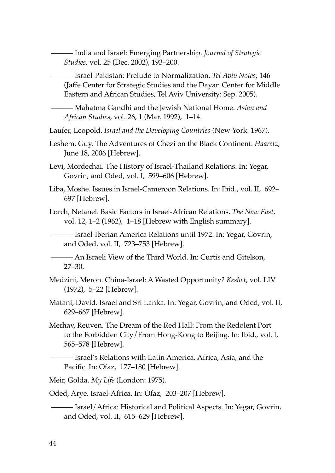——— India and Israel: Emerging Partnership. *Journal of Strategic Studies*, vol. 25 (Dec. 2002), 193–200.

 ——— Israel-Pakistan: Prelude to Normalization. *Tel Aviv Notes*, 146 (Jaffe Center for Strategic Studies and the Dayan Center for Middle Eastern and African Studies, Tel Aviv University: Sep. 2005).

 ——— Mahatma Gandhi and the Jewish National Home. *Asian and African Studies*, vol. 26, 1 (Mar. 1992), 1–14.

Laufer, Leopold. *Israel and the Developing Countries* (New York: 1967).

- Leshem, Guy. The Adventures of Chezi on the Black Continent. *Haaretz*, June 18, 2006 [Hebrew].
- Levi, Mordechai. The History of Israel-Thailand Relations. In: Yegar, Govrin, and Oded, vol. I, 599–606 [Hebrew].
- Liba, Moshe. Issues in Israel-Cameroon Relations. In: Ibid., vol. II, 692– 697 [Hebrew].

Lorch, Netanel. Basic Factors in Israel-African Relations. *The New East*, vol. 12, 1–2 (1962), 1–18 [Hebrew with English summary].

 ——— Israel-Iberian America Relations until 1972. In: Yegar, Govrin, and Oded, vol. II, 723–753 [Hebrew].

 ——— An Israeli View of the Third World. In: Curtis and Gitelson, 27–30.

- Medzini, Meron. China-Israel: A Wasted Opportunity? *Keshet*, vol. LIV (1972), 5–22 [Hebrew].
- Matani, David. Israel and Sri Lanka. In: Yegar, Govrin, and Oded, vol. II, 629–667 [Hebrew].
- Merhav, Reuven. The Dream of the Red Hall: From the Redolent Port to the Forbidden City/From Hong-Kong to Beijing. In: Ibid., vol. I, 565–578 [Hebrew].

 ——— Israel's Relations with Latin America, Africa, Asia, and the Pacific. In: Ofaz, 177–180 [Hebrew].

Meir, Golda. *My Life* (London: 1975).

Oded, Arye. Israel-Africa. In: Ofaz, 203–207 [Hebrew].

 ——— Israel/Africa: Historical and Political Aspects. In: Yegar, Govrin, and Oded, vol. II, 615–629 [Hebrew].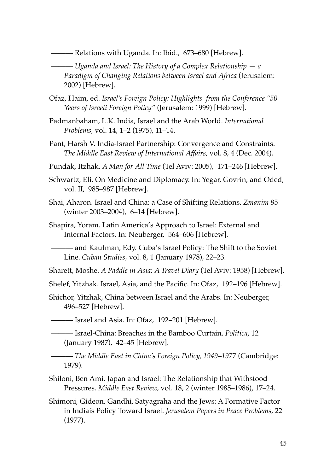——— Relations with Uganda. In: Ibid., 673–680 [Hebrew].

 ——— *Uganda and Israel: The History of a Complex Relationship — a Paradigm of Changing Relations between Israel and Africa* (Jerusalem: 2002) [Hebrew].

- Ofaz, Haim, ed. *Israel's Foreign Policy: Highlights from the Conference "50 Years of Israeli Foreign Policy"* (Jerusalem: 1999) [Hebrew].
- Padmanbaham, L.K. India, Israel and the Arab World. *International Problems,* vol. 14, 1–2 (1975), 11–14.
- Pant, Harsh V. India-Israel Partnership: Convergence and Constraints. *The Middle East Review of International Affairs,* vol. 8, 4 (Dec. 2004).
- Pundak, Itzhak. *A Man for All Time* (Tel Aviv: 2005), 171–246 [Hebrew].
- Schwartz, Eli. On Medicine and Diplomacy. In: Yegar, Govrin, and Oded, vol. II, 985–987 [Hebrew].
- Shai, Aharon. Israel and China: a Case of Shifting Relations. *Zmanim* 85 (winter 2003–2004), 6–14 [Hebrew].
- Shapira, Yoram. Latin America's Approach to Israel: External and Internal Factors. In: Neuberger, 564–606 [Hebrew].

 ——— and Kaufman, Edy. Cuba's Israel Policy: The Shift to the Soviet Line. *Cuban Studies,* vol. 8, 1 (January 1978), 22–23.

Sharett, Moshe. *A Paddle in Asia*: *A Travel Diary* (Tel Aviv: 1958) [Hebrew].

Shelef, Yitzhak. Israel, Asia, and the Pacific. In: Ofaz, 192–196 [Hebrew].

Shichor, Yitzhak, China between Israel and the Arabs. In: Neuberger, 496–527 [Hebrew].

——— Israel and Asia. In: Ofaz, 192–201 [Hebrew].

 ——— Israel-China: Breaches in the Bamboo Curtain. *Politica*, 12 (January 1987), 42–45 [Hebrew].

 ——— *The Middle East in China's Foreign Policy, 1949*–*1977* (Cambridge: 1979).

- Shiloni, Ben Ami. Japan and Israel: The Relationship that Withstood Pressures. *Middle East Review,* vol. 18, 2 (winter 1985–1986), 17–24.
- Shimoni, Gideon. Gandhi, Satyagraha and the Jews: A Formative Factor in Indiaís Policy Toward Israel. *Jerusalem Papers in Peace Problems*, 22 (1977).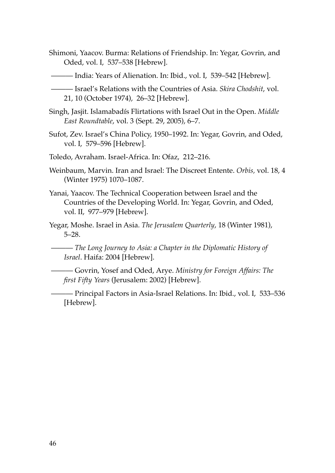- Shimoni, Yaacov. Burma: Relations of Friendship. In: Yegar, Govrin, and Oded, vol. I, 537–538 [Hebrew].
- India: Years of Alienation. In: Ibid., vol. I, 539–542 [Hebrew].
	- ——— Israel's Relations with the Countries of Asia. *Skira Chodshit*, vol. 21, 10 (October 1974), 26–32 [Hebrew].
- Singh, Jasjit. Islamabadís Flirtations with Israel Out in the Open. *Middle East Roundtable*, vol. 3 (Sept. 29, 2005), 6–7.
- Sufot, Zev. Israel's China Policy, 1950–1992. In: Yegar, Govrin, and Oded, vol. I, 579–596 [Hebrew].
- Toledo, Avraham. Israel-Africa. In: Ofaz, 212–216.
- Weinbaum, Marvin. Iran and Israel: The Discreet Entente. *Orbis,* vol. 18, 4 (Winter 1975) 1070–1087.
- Yanai, Yaacov. The Technical Cooperation between Israel and the Countries of the Developing World. In: Yegar, Govrin, and Oded, vol. II, 977–979 [Hebrew].
- Yegar, Moshe. Israel in Asia. *The Jerusalem Quarterly*, 18 (Winter 1981), 5–28.

 ——— *The Long Journey to Asia: a Chapter in the Diplomatic History of Israel*. Haifa: 2004 [Hebrew].

 ——— Govrin, Yosef and Oded, Arye. *Ministry for Foreign Affairs: The first Fifty Years* (Jerusalem: 2002) [Hebrew].

 ——— Principal Factors in Asia-Israel Relations. In: Ibid., vol. I, 533–536 [Hebrew].